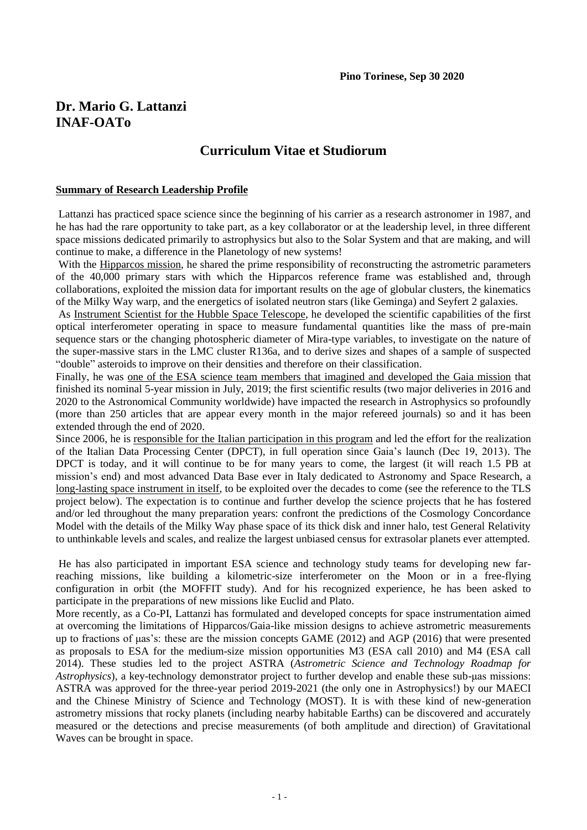# **Dr. Mario G. Lattanzi INAF-OATo**

# **Curriculum Vitae et Studiorum**

## **Summary of Research Leadership Profile**

Lattanzi has practiced space science since the beginning of his carrier as a research astronomer in 1987, and he has had the rare opportunity to take part, as a key collaborator or at the leadership level, in three different space missions dedicated primarily to astrophysics but also to the Solar System and that are making, and will continue to make, a difference in the Planetology of new systems!

With the Hipparcos mission, he shared the prime responsibility of reconstructing the astrometric parameters of the 40,000 primary stars with which the Hipparcos reference frame was established and, through collaborations, exploited the mission data for important results on the age of globular clusters, the kinematics of the Milky Way warp, and the energetics of isolated neutron stars (like Geminga) and Seyfert 2 galaxies.

As Instrument Scientist for the Hubble Space Telescope, he developed the scientific capabilities of the first optical interferometer operating in space to measure fundamental quantities like the mass of pre-main sequence stars or the changing photospheric diameter of Mira-type variables, to investigate on the nature of the super-massive stars in the LMC cluster R136a, and to derive sizes and shapes of a sample of suspected "double" asteroids to improve on their densities and therefore on their classification.

Finally, he was one of the ESA science team members that imagined and developed the Gaia mission that finished its nominal 5-year mission in July, 2019; the first scientific results (two major deliveries in 2016 and 2020 to the Astronomical Community worldwide) have impacted the research in Astrophysics so profoundly (more than 250 articles that are appear every month in the major refereed journals) so and it has been extended through the end of 2020.

Since 2006, he is responsible for the Italian participation in this program and led the effort for the realization of the Italian Data Processing Center (DPCT), in full operation since Gaia's launch (Dec 19, 2013). The DPCT is today, and it will continue to be for many years to come, the largest (it will reach 1.5 PB at mission's end) and most advanced Data Base ever in Italy dedicated to Astronomy and Space Research, a long-lasting space instrument in itself, to be exploited over the decades to come (see the reference to the TLS project below). The expectation is to continue and further develop the science projects that he has fostered and/or led throughout the many preparation years: confront the predictions of the Cosmology Concordance Model with the details of the Milky Way phase space of its thick disk and inner halo, test General Relativity to unthinkable levels and scales, and realize the largest unbiased census for extrasolar planets ever attempted.

He has also participated in important ESA science and technology study teams for developing new farreaching missions, like building a kilometric-size interferometer on the Moon or in a free-flying configuration in orbit (the MOFFIT study). And for his recognized experience, he has been asked to participate in the preparations of new missions like Euclid and Plato.

More recently, as a Co-PI, Lattanzi has formulated and developed concepts for space instrumentation aimed at overcoming the limitations of Hipparcos/Gaia-like mission designs to achieve astrometric measurements up to fractions of μas's: these are the mission concepts GAME (2012) and AGP (2016) that were presented as proposals to ESA for the medium-size mission opportunities M3 (ESA call 2010) and M4 (ESA call 2014). These studies led to the project ASTRA (*Astrometric Science and Technology Roadmap for Astrophysics*), a key-technology demonstrator project to further develop and enable these sub-μas missions: ASTRA was approved for the three-year period 2019-2021 (the only one in Astrophysics!) by our MAECI and the Chinese Ministry of Science and Technology (MOST). It is with these kind of new-generation astrometry missions that rocky planets (including nearby habitable Earths) can be discovered and accurately measured or the detections and precise measurements (of both amplitude and direction) of Gravitational Waves can be brought in space.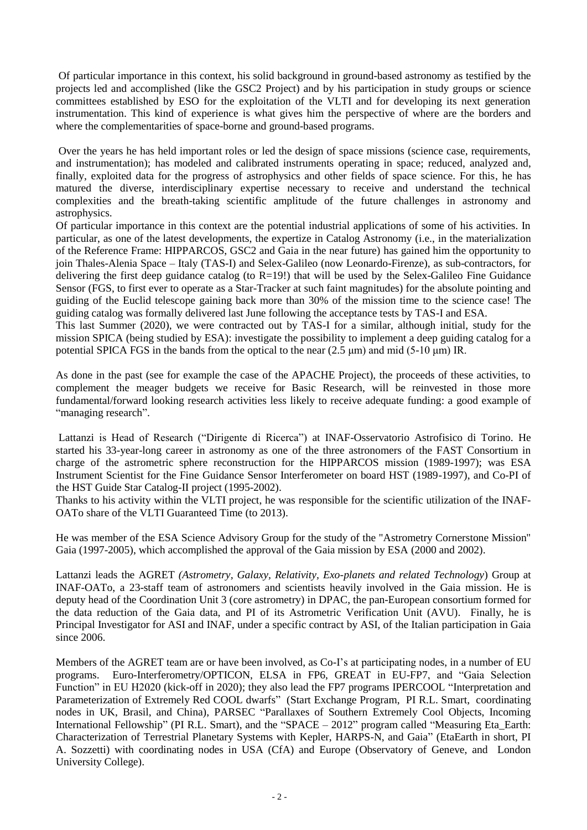Of particular importance in this context, his solid background in ground-based astronomy as testified by the projects led and accomplished (like the GSC2 Project) and by his participation in study groups or science committees established by ESO for the exploitation of the VLTI and for developing its next generation instrumentation. This kind of experience is what gives him the perspective of where are the borders and where the complementarities of space-borne and ground-based programs.

Over the years he has held important roles or led the design of space missions (science case, requirements, and instrumentation); has modeled and calibrated instruments operating in space; reduced, analyzed and, finally, exploited data for the progress of astrophysics and other fields of space science. For this, he has matured the diverse, interdisciplinary expertise necessary to receive and understand the technical complexities and the breath-taking scientific amplitude of the future challenges in astronomy and astrophysics.

Of particular importance in this context are the potential industrial applications of some of his activities. In particular, as one of the latest developments, the expertize in Catalog Astronomy (i.e., in the materialization of the Reference Frame: HIPPARCOS, GSC2 and Gaia in the near future) has gained him the opportunity to join Thales-Alenia Space – Italy (TAS-I) and Selex-Galileo (now Leonardo-Firenze), as sub-contractors, for delivering the first deep guidance catalog (to  $R=19!$ ) that will be used by the Selex-Galileo Fine Guidance Sensor (FGS, to first ever to operate as a Star-Tracker at such faint magnitudes) for the absolute pointing and guiding of the Euclid telescope gaining back more than 30% of the mission time to the science case! The guiding catalog was formally delivered last June following the acceptance tests by TAS-I and ESA.

This last Summer (2020), we were contracted out by TAS-I for a similar, although initial, study for the mission SPICA (being studied by ESA): investigate the possibility to implement a deep guiding catalog for a potential SPICA FGS in the bands from the optical to the near (2.5 μm) and mid (5-10 μm) IR.

As done in the past (see for example the case of the APACHE Project), the proceeds of these activities, to complement the meager budgets we receive for Basic Research, will be reinvested in those more fundamental/forward looking research activities less likely to receive adequate funding: a good example of "managing research".

Lattanzi is Head of Research ("Dirigente di Ricerca") at INAF-Osservatorio Astrofisico di Torino. He started his 33-year-long career in astronomy as one of the three astronomers of the FAST Consortium in charge of the astrometric sphere reconstruction for the HIPPARCOS mission (1989-1997); was ESA Instrument Scientist for the Fine Guidance Sensor Interferometer on board HST (1989-1997), and Co-PI of the HST Guide Star Catalog-II project (1995-2002).

Thanks to his activity within the VLTI project, he was responsible for the scientific utilization of the INAF-OATo share of the VLTI Guaranteed Time (to 2013).

He was member of the ESA Science Advisory Group for the study of the "Astrometry Cornerstone Mission" Gaia (1997-2005), which accomplished the approval of the Gaia mission by ESA (2000 and 2002).

Lattanzi leads the AGRET *(Astrometry, Galaxy, Relativity, Exo-planets and related Technology*) Group at INAF-OATo, a 23-staff team of astronomers and scientists heavily involved in the Gaia mission. He is deputy head of the Coordination Unit 3 (core astrometry) in DPAC, the pan-European consortium formed for the data reduction of the Gaia data, and PI of its Astrometric Verification Unit (AVU). Finally, he is Principal Investigator for ASI and INAF, under a specific contract by ASI, of the Italian participation in Gaia since 2006.

Members of the AGRET team are or have been involved, as Co-I's at participating nodes, in a number of EU programs. Euro-Interferometry/OPTICON, ELSA in FP6, GREAT in EU-FP7, and "Gaia Selection Function" in EU H2020 (kick-off in 2020); they also lead the FP7 programs IPERCOOL "Interpretation and Parameterization of Extremely Red COOL dwarfs" (Start Exchange Program, PI R.L. Smart, coordinating nodes in UK, Brasil, and China), PARSEC "Parallaxes of Southern Extremely Cool Objects, Incoming International Fellowship" (PI R.L. Smart), and the "SPACE – 2012" program called "Measuring Eta\_Earth: Characterization of Terrestrial Planetary Systems with Kepler, HARPS-N, and Gaia" (EtaEarth in short, PI A. Sozzetti) with coordinating nodes in USA (CfA) and Europe (Observatory of Geneve, and London University College).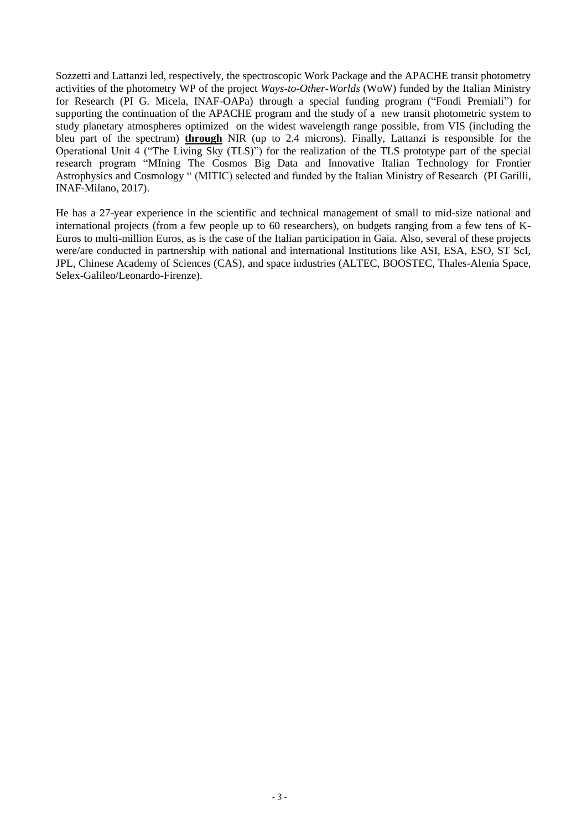Sozzetti and Lattanzi led, respectively, the spectroscopic Work Package and the APACHE transit photometry activities of the photometry WP of the project *Ways-to-Other-Worlds* (WoW) funded by the Italian Ministry for Research (PI G. Micela, INAF-OAPa) through a special funding program ("Fondi Premiali") for supporting the continuation of the APACHE program and the study of a new transit photometric system to study planetary atmospheres optimized on the widest wavelength range possible, from VIS (including the bleu part of the spectrum) **through** NIR (up to 2.4 microns). Finally, Lattanzi is responsible for the Operational Unit 4 ("The Living Sky (TLS)") for the realization of the TLS prototype part of the special research program "MIning The Cosmos Big Data and Innovative Italian Technology for Frontier Astrophysics and Cosmology " (MITIC) selected and funded by the Italian Ministry of Research (PI Garilli, INAF-Milano, 2017).

He has a 27-year experience in the scientific and technical management of small to mid-size national and international projects (from a few people up to 60 researchers), on budgets ranging from a few tens of K-Euros to multi-million Euros, as is the case of the Italian participation in Gaia. Also, several of these projects were/are conducted in partnership with national and international Institutions like ASI, ESA, ESO, ST ScI, JPL, Chinese Academy of Sciences (CAS), and space industries (ALTEC, BOOSTEC, Thales-Alenia Space, Selex-Galileo/Leonardo-Firenze).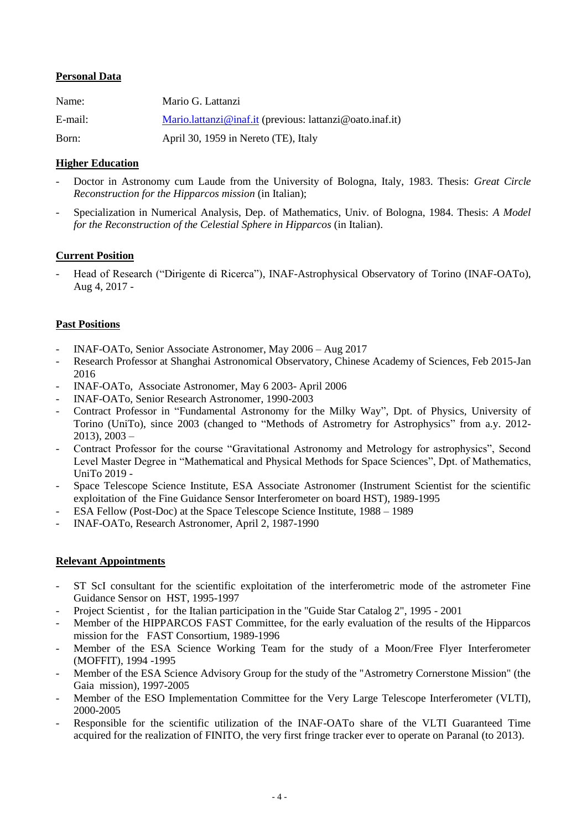# **Personal Data**

| Name:   | Mario G. Lattanzi                                                 |
|---------|-------------------------------------------------------------------|
| E-mail: | $\text{Mario.lattanzi@inaf.it}$ (previous: lattanzi@oato.inaf.it) |
| Born:   | April 30, 1959 in Nereto (TE), Italy                              |

# **Higher Education**

- Doctor in Astronomy cum Laude from the University of Bologna, Italy, 1983. Thesis: *Great Circle Reconstruction for the Hipparcos mission* (in Italian);
- Specialization in Numerical Analysis, Dep. of Mathematics, Univ. of Bologna, 1984. Thesis: *A Model for the Reconstruction of the Celestial Sphere in Hipparcos* (in Italian).

# **Current Position**

Head of Research ("Dirigente di Ricerca"), INAF-Astrophysical Observatory of Torino (INAF-OATo), Aug 4, 2017 -

# **Past Positions**

- INAF-OATo, Senior Associate Astronomer, May 2006 Aug 2017
- Research Professor at Shanghai Astronomical Observatory, Chinese Academy of Sciences, Feb 2015-Jan 2016
- INAF-OATo, Associate Astronomer, May 6 2003- April 2006
- INAF-OATo, Senior Research Astronomer, 1990-2003
- Contract Professor in "Fundamental Astronomy for the Milky Way", Dpt. of Physics, University of Torino (UniTo), since 2003 (changed to "Methods of Astrometry for Astrophysics" from a.y. 2012-  $2013$ ,  $2003 -$
- Contract Professor for the course "Gravitational Astronomy and Metrology for astrophysics", Second Level Master Degree in "Mathematical and Physical Methods for Space Sciences", Dpt. of Mathematics, UniTo 2019 -
- Space Telescope Science Institute, ESA Associate Astronomer (Instrument Scientist for the scientific exploitation of the Fine Guidance Sensor Interferometer on board HST), 1989-1995
- ESA Fellow (Post-Doc) at the Space Telescope Science Institute, 1988 1989
- INAF-OATo, Research Astronomer, April 2, 1987-1990

# **Relevant Appointments**

- ST ScI consultant for the scientific exploitation of the interferometric mode of the astrometer Fine Guidance Sensor on HST, 1995-1997
- Project Scientist , for the Italian participation in the "Guide Star Catalog 2", 1995 2001
- Member of the HIPPARCOS FAST Committee, for the early evaluation of the results of the Hipparcos mission for the FAST Consortium, 1989-1996
- Member of the ESA Science Working Team for the study of a Moon/Free Flyer Interferometer (MOFFIT), 1994 -1995
- Member of the ESA Science Advisory Group for the study of the "Astrometry Cornerstone Mission" (the Gaia mission), 1997-2005
- Member of the ESO Implementation Committee for the Very Large Telescope Interferometer (VLTI), 2000-2005
- Responsible for the scientific utilization of the INAF-OATo share of the VLTI Guaranteed Time acquired for the realization of FINITO, the very first fringe tracker ever to operate on Paranal (to 2013).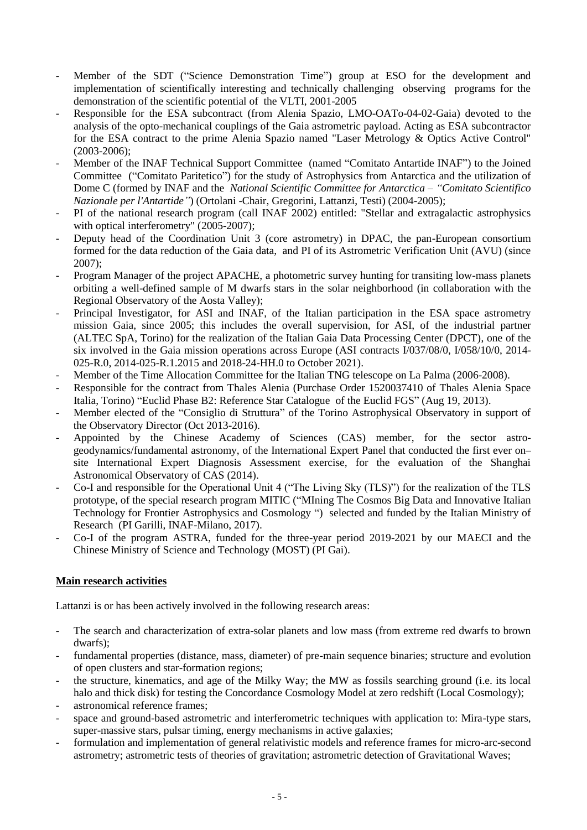- Member of the SDT ("Science Demonstration Time") group at ESO for the development and implementation of scientifically interesting and technically challenging observing programs for the demonstration of the scientific potential of the VLTI, 2001-2005
- Responsible for the ESA subcontract (from Alenia Spazio, LMO-OATo-04-02-Gaia) devoted to the analysis of the opto-mechanical couplings of the Gaia astrometric payload. Acting as ESA subcontractor for the ESA contract to the prime Alenia Spazio named "Laser Metrology & Optics Active Control" (2003-2006);
- Member of the INAF Technical Support Committee (named "Comitato Antartide INAF") to the Joined Committee ("Comitato Paritetico") for the study of Astrophysics from Antarctica and the utilization of Dome C (formed by INAF and the *National Scientific Committee for Antarctica – "Comitato Scientifico Nazionale per l'Antartide"*) (Ortolani -Chair, Gregorini, Lattanzi, Testi) (2004-2005);
- PI of the national research program (call INAF 2002) entitled: "Stellar and extragalactic astrophysics with optical interferometry" (2005-2007);
- Deputy head of the Coordination Unit 3 (core astrometry) in DPAC, the pan-European consortium formed for the data reduction of the Gaia data, and PI of its Astrometric Verification Unit (AVU) (since 2007);
- Program Manager of the project APACHE, a photometric survey hunting for transiting low-mass planets orbiting a well-defined sample of M dwarfs stars in the solar neighborhood (in collaboration with the Regional Observatory of the Aosta Valley);
- Principal Investigator, for ASI and INAF, of the Italian participation in the ESA space astrometry mission Gaia, since 2005; this includes the overall supervision, for ASI, of the industrial partner (ALTEC SpA, Torino) for the realization of the Italian Gaia Data Processing Center (DPCT), one of the six involved in the Gaia mission operations across Europe (ASI contracts I/037/08/0, I/058/10/0, 2014- 025-R.0, 2014-025-R.1.2015 and 2018-24-HH.0 to October 2021).
- Member of the Time Allocation Committee for the Italian TNG telescope on La Palma (2006-2008).
- Responsible for the contract from Thales Alenia (Purchase Order 1520037410 of Thales Alenia Space Italia, Torino) "Euclid Phase B2: Reference Star Catalogue of the Euclid FGS" (Aug 19, 2013).
- Member elected of the "Consiglio di Struttura" of the Torino Astrophysical Observatory in support of the Observatory Director (Oct 2013-2016).
- Appointed by the Chinese Academy of Sciences (CAS) member, for the sector astrogeodynamics/fundamental astronomy, of the International Expert Panel that conducted the first ever on– site International Expert Diagnosis Assessment exercise, for the evaluation of the Shanghai Astronomical Observatory of CAS (2014).
- Co-I and responsible for the Operational Unit 4 ("The Living Sky (TLS)") for the realization of the TLS prototype, of the special research program MITIC ("MIning The Cosmos Big Data and Innovative Italian Technology for Frontier Astrophysics and Cosmology ") selected and funded by the Italian Ministry of Research (PI Garilli, INAF-Milano, 2017).
- Co-I of the program ASTRA, funded for the three-year period 2019-2021 by our MAECI and the Chinese Ministry of Science and Technology (MOST) (PI Gai).

# **Main research activities**

Lattanzi is or has been actively involved in the following research areas:

- The search and characterization of extra-solar planets and low mass (from extreme red dwarfs to brown dwarfs);
- fundamental properties (distance, mass, diameter) of pre-main sequence binaries; structure and evolution of open clusters and star-formation regions;
- the structure, kinematics, and age of the Milky Way; the MW as fossils searching ground (i.e. its local halo and thick disk) for testing the Concordance Cosmology Model at zero redshift (Local Cosmology);
- astronomical reference frames;
- space and ground-based astrometric and interferometric techniques with application to: Mira-type stars, super-massive stars, pulsar timing, energy mechanisms in active galaxies;
- formulation and implementation of general relativistic models and reference frames for micro-arc-second astrometry; astrometric tests of theories of gravitation; astrometric detection of Gravitational Waves;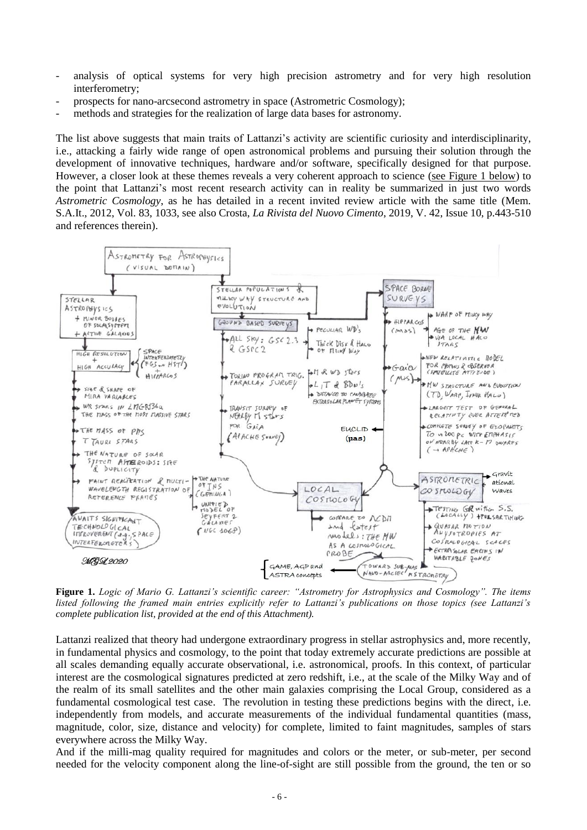- analysis of optical systems for very high precision astrometry and for very high resolution interferometry;
- prospects for nano-arcsecond astrometry in space (Astrometric Cosmology);
- methods and strategies for the realization of large data bases for astronomy.

The list above suggests that main traits of Lattanzi's activity are scientific curiosity and interdisciplinarity, i.e., attacking a fairly wide range of open astronomical problems and pursuing their solution through the development of innovative techniques, hardware and/or software, specifically designed for that purpose. However, a closer look at these themes reveals a very coherent approach to science (see Figure 1 below) to the point that Lattanzi's most recent research activity can in reality be summarized in just two words *Astrometric Cosmology*, as he has detailed in a recent invited review article with the same title (Mem. S.A.It., 2012, Vol. 83, 1033, see also Crosta, *La Rivista del Nuovo Cimento*, 2019, V. 42, Issue 10, p.443-510 and references therein).



**Figure 1.** *Logic of Mario G. Lattanzi's scientific career: "Astrometry for Astrophysics and Cosmology". The items listed following the framed main entries explicitly refer to Lattanzi's publications on those topics (see Lattanzi's complete publication list, provided at the end of this Attachment).*

Lattanzi realized that theory had undergone extraordinary progress in stellar astrophysics and, more recently, in fundamental physics and cosmology, to the point that today extremely accurate predictions are possible at all scales demanding equally accurate observational, i.e. astronomical, proofs. In this context, of particular interest are the cosmological signatures predicted at zero redshift, i.e., at the scale of the Milky Way and of the realm of its small satellites and the other main galaxies comprising the Local Group, considered as a fundamental cosmological test case. The revolution in testing these predictions begins with the direct, i.e. independently from models, and accurate measurements of the individual fundamental quantities (mass, magnitude, color, size, distance and velocity) for complete, limited to faint magnitudes, samples of stars everywhere across the Milky Way.

And if the milli-mag quality required for magnitudes and colors or the meter, or sub-meter, per second needed for the velocity component along the line-of-sight are still possible from the ground, the ten or so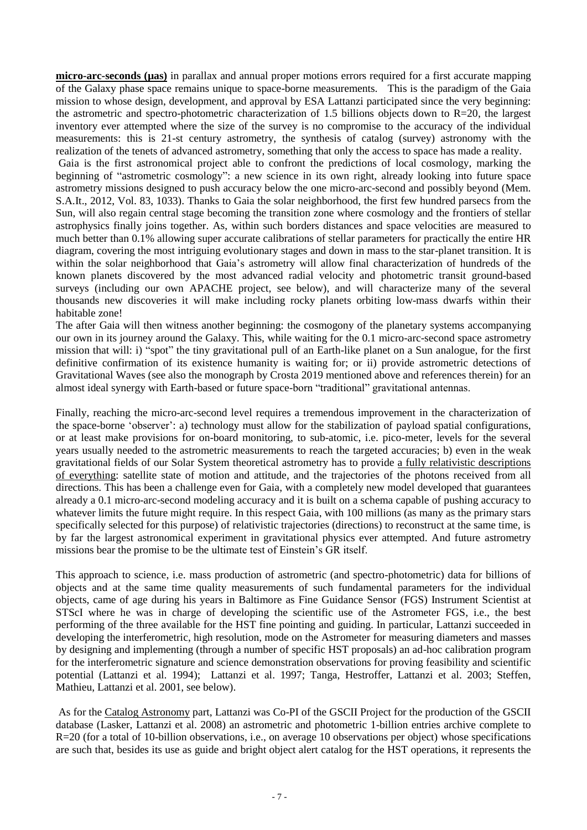**micro-arc-seconds (µas)** in parallax and annual proper motions errors required for a first accurate mapping of the Galaxy phase space remains unique to space-borne measurements. This is the paradigm of the Gaia mission to whose design, development, and approval by ESA Lattanzi participated since the very beginning: the astrometric and spectro-photometric characterization of 1.5 billions objects down to R=20, the largest inventory ever attempted where the size of the survey is no compromise to the accuracy of the individual measurements: this is 21-st century astrometry, the synthesis of catalog (survey) astronomy with the realization of the tenets of advanced astrometry, something that only the access to space has made a reality.

Gaia is the first astronomical project able to confront the predictions of local cosmology, marking the beginning of "astrometric cosmology": a new science in its own right, already looking into future space astrometry missions designed to push accuracy below the one micro-arc-second and possibly beyond (Mem. S.A.It., 2012, Vol. 83, 1033). Thanks to Gaia the solar neighborhood, the first few hundred parsecs from the Sun, will also regain central stage becoming the transition zone where cosmology and the frontiers of stellar astrophysics finally joins together. As, within such borders distances and space velocities are measured to much better than 0.1% allowing super accurate calibrations of stellar parameters for practically the entire HR diagram, covering the most intriguing evolutionary stages and down in mass to the star-planet transition. It is within the solar neighborhood that Gaia's astrometry will allow final characterization of hundreds of the known planets discovered by the most advanced radial velocity and photometric transit ground-based surveys (including our own APACHE project, see below), and will characterize many of the several thousands new discoveries it will make including rocky planets orbiting low-mass dwarfs within their habitable zone!

The after Gaia will then witness another beginning: the cosmogony of the planetary systems accompanying our own in its journey around the Galaxy. This, while waiting for the 0.1 micro-arc-second space astrometry mission that will: i) "spot" the tiny gravitational pull of an Earth-like planet on a Sun analogue, for the first definitive confirmation of its existence humanity is waiting for; or ii) provide astrometric detections of Gravitational Waves (see also the monograph by Crosta 2019 mentioned above and references therein) for an almost ideal synergy with Earth-based or future space-born "traditional" gravitational antennas.

Finally, reaching the micro-arc-second level requires a tremendous improvement in the characterization of the space-borne 'observer': a) technology must allow for the stabilization of payload spatial configurations, or at least make provisions for on-board monitoring, to sub-atomic, i.e. pico-meter, levels for the several years usually needed to the astrometric measurements to reach the targeted accuracies; b) even in the weak gravitational fields of our Solar System theoretical astrometry has to provide a fully relativistic descriptions of everything: satellite state of motion and attitude, and the trajectories of the photons received from all directions. This has been a challenge even for Gaia, with a completely new model developed that guarantees already a 0.1 micro-arc-second modeling accuracy and it is built on a schema capable of pushing accuracy to whatever limits the future might require. In this respect Gaia, with 100 millions (as many as the primary stars specifically selected for this purpose) of relativistic trajectories (directions) to reconstruct at the same time, is by far the largest astronomical experiment in gravitational physics ever attempted. And future astrometry missions bear the promise to be the ultimate test of Einstein's GR itself.

This approach to science, i.e. mass production of astrometric (and spectro-photometric) data for billions of objects and at the same time quality measurements of such fundamental parameters for the individual objects, came of age during his years in Baltimore as Fine Guidance Sensor (FGS) Instrument Scientist at STScI where he was in charge of developing the scientific use of the Astrometer FGS, i.e., the best performing of the three available for the HST fine pointing and guiding. In particular, Lattanzi succeeded in developing the interferometric, high resolution, mode on the Astrometer for measuring diameters and masses by designing and implementing (through a number of specific HST proposals) an ad-hoc calibration program for the interferometric signature and science demonstration observations for proving feasibility and scientific potential (Lattanzi et al. 1994); Lattanzi et al. 1997; Tanga, Hestroffer, Lattanzi et al. 2003; Steffen, Mathieu, Lattanzi et al. 2001, see below).

As for the Catalog Astronomy part, Lattanzi was Co-PI of the GSCII Project for the production of the GSCII database (Lasker, Lattanzi et al. 2008) an astrometric and photometric 1-billion entries archive complete to R=20 (for a total of 10-billion observations, i.e., on average 10 observations per object) whose specifications are such that, besides its use as guide and bright object alert catalog for the HST operations, it represents the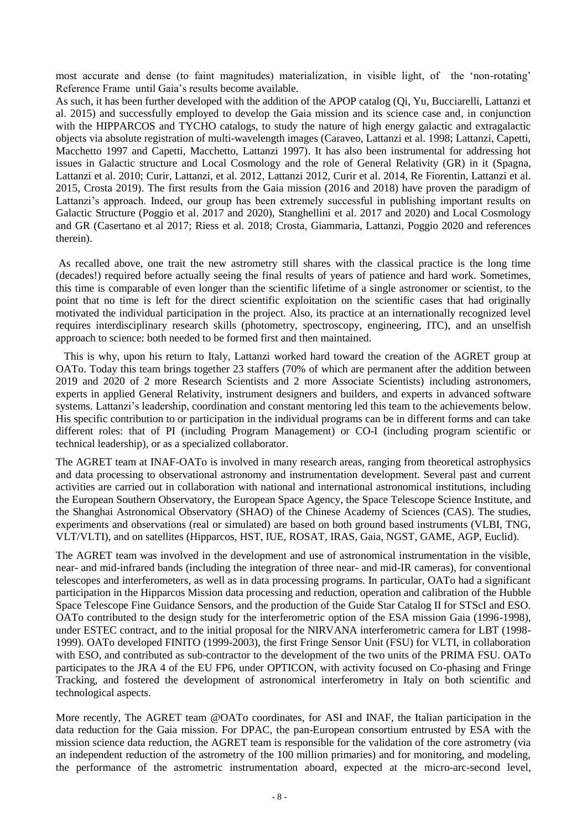most accurate and dense (to faint magnitudes) materialization, in visible light, of the 'non-rotating' Reference Frame until Gaia's results become available.

As such, it has been further developed with the addition of the APOP catalog (Qi, Yu, Bucciarelli, Lattanzi et al. 2015) and successfully employed to develop the Gaia mission and its science case and, in conjunction with the HIPPARCOS and TYCHO catalogs, to study the nature of high energy galactic and extragalactic objects via absolute registration of multi-wavelength images (Caraveo, Lattanzi et al. 1998; Lattanzi, Capetti, Macchetto 1997 and Capetti, Macchetto, Lattanzi 1997). It has also been instrumental for addressing hot issues in Galactic structure and Local Cosmology and the role of General Relativity (GR) in it (Spagna, Lattanzi et al. 2010; Curir, Lattanzi, et al. 2012, Lattanzi 2012, Curir et al. 2014, Re Fiorentin, Lattanzi et al. 2015, Crosta 2019). The first results from the Gaia mission (2016 and 2018) have proven the paradigm of Lattanzi's approach. Indeed, our group has been extremely successful in publishing important results on Galactic Structure (Poggio et al. 2017 and 2020), Stanghellini et al. 2017 and 2020) and Local Cosmology and GR (Casertano et al 2017; Riess et al. 2018; Crosta, Giammaria, Lattanzi, Poggio 2020 and references therein).

As recalled above, one trait the new astrometry still shares with the classical practice is the long time (decades!) required before actually seeing the final results of years of patience and hard work. Sometimes, this time is comparable of even longer than the scientific lifetime of a single astronomer or scientist, to the point that no time is left for the direct scientific exploitation on the scientific cases that had originally motivated the individual participation in the project. Also, its practice at an internationally recognized level requires interdisciplinary research skills (photometry, spectroscopy, engineering, ITC), and an unselfish approach to science: both needed to be formed first and then maintained.

 This is why, upon his return to Italy, Lattanzi worked hard toward the creation of the AGRET group at OATo. Today this team brings together 23 staffers (70% of which are permanent after the addition between 2019 and 2020 of 2 more Research Scientists and 2 more Associate Scientists) including astronomers, experts in applied General Relativity, instrument designers and builders, and experts in advanced software systems. Lattanzi's leadership, coordination and constant mentoring led this team to the achievements below. His specific contribution to or participation in the individual programs can be in different forms and can take different roles: that of PI (including Program Management) or CO-I (including program scientific or technical leadership), or as a specialized collaborator.

The AGRET team at INAF-OATo is involved in many research areas, ranging from theoretical astrophysics and data processing to observational astronomy and instrumentation development. Several past and current activities are carried out in collaboration with national and international astronomical institutions, including the European Southern Observatory, the European Space Agency, the Space Telescope Science Institute, and the Shanghai Astronomical Observatory (SHAO) of the Chinese Academy of Sciences (CAS). The studies, experiments and observations (real or simulated) are based on both ground based instruments (VLBI, TNG, VLT/VLTI), and on satellites (Hipparcos, HST, IUE, ROSAT, IRAS, Gaia, NGST, GAME, AGP, Euclid).

The AGRET team was involved in the development and use of astronomical instrumentation in the visible, near- and mid-infrared bands (including the integration of three near- and mid-IR cameras), for conventional telescopes and interferometers, as well as in data processing programs. In particular, OATo had a significant participation in the Hipparcos Mission data processing and reduction, operation and calibration of the Hubble Space Telescope Fine Guidance Sensors, and the production of the Guide Star Catalog II for STScI and ESO. OATo contributed to the design study for the interferometric option of the ESA mission Gaia (1996-1998), under ESTEC contract, and to the initial proposal for the NIRVANA interferometric camera for LBT (1998- 1999). OATo developed FINITO (1999-2003), the first Fringe Sensor Unit (FSU) for VLTI, in collaboration with ESO, and contributed as sub-contractor to the development of the two units of the PRIMA FSU. OATo participates to the JRA 4 of the EU FP6, under OPTICON, with activity focused on Co-phasing and Fringe Tracking, and fostered the development of astronomical interferometry in Italy on both scientific and technological aspects.

More recently, The AGRET team @OATo coordinates, for ASI and INAF, the Italian participation in the data reduction for the Gaia mission. For DPAC, the pan-European consortium entrusted by ESA with the mission science data reduction, the AGRET team is responsible for the validation of the core astrometry (via an independent reduction of the astrometry of the 100 million primaries) and for monitoring, and modeling, the performance of the astrometric instrumentation aboard, expected at the micro-arc-second level,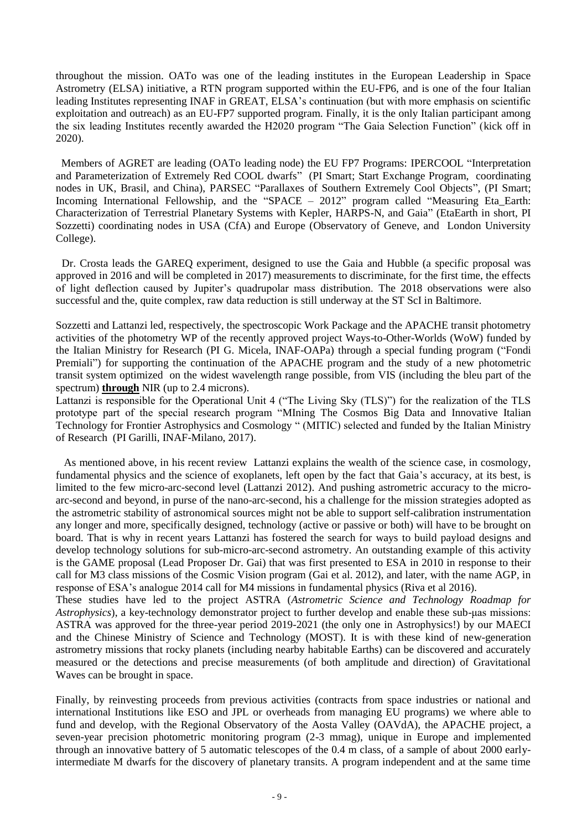throughout the mission. OATo was one of the leading institutes in the European Leadership in Space Astrometry (ELSA) initiative, a RTN program supported within the EU-FP6, and is one of the four Italian leading Institutes representing INAF in GREAT, ELSA's continuation (but with more emphasis on scientific exploitation and outreach) as an EU-FP7 supported program. Finally, it is the only Italian participant among the six leading Institutes recently awarded the H2020 program "The Gaia Selection Function" (kick off in 2020).

 Members of AGRET are leading (OATo leading node) the EU FP7 Programs: IPERCOOL "Interpretation and Parameterization of Extremely Red COOL dwarfs" (PI Smart; Start Exchange Program, coordinating nodes in UK, Brasil, and China), PARSEC "Parallaxes of Southern Extremely Cool Objects", (PI Smart; Incoming International Fellowship, and the "SPACE – 2012" program called "Measuring Eta Earth: Characterization of Terrestrial Planetary Systems with Kepler, HARPS-N, and Gaia" (EtaEarth in short, PI Sozzetti) coordinating nodes in USA (CfA) and Europe (Observatory of Geneve, and London University College).

Dr. Crosta leads the GAREQ experiment, designed to use the Gaia and Hubble (a specific proposal was approved in 2016 and will be completed in 2017) measurements to discriminate, for the first time, the effects of light deflection caused by Jupiter's quadrupolar mass distribution. The 2018 observations were also successful and the, quite complex, raw data reduction is still underway at the ST ScI in Baltimore.

Sozzetti and Lattanzi led, respectively, the spectroscopic Work Package and the APACHE transit photometry activities of the photometry WP of the recently approved project Ways-to-Other-Worlds (WoW) funded by the Italian Ministry for Research (PI G. Micela, INAF-OAPa) through a special funding program ("Fondi Premiali") for supporting the continuation of the APACHE program and the study of a new photometric transit system optimized on the widest wavelength range possible, from VIS (including the bleu part of the spectrum) **through** NIR (up to 2.4 microns).

Lattanzi is responsible for the Operational Unit 4 ("The Living Sky (TLS)") for the realization of the TLS prototype part of the special research program "MIning The Cosmos Big Data and Innovative Italian Technology for Frontier Astrophysics and Cosmology " (MITIC) selected and funded by the Italian Ministry of Research (PI Garilli, INAF-Milano, 2017).

 As mentioned above, in his recent review Lattanzi explains the wealth of the science case, in cosmology, fundamental physics and the science of exoplanets, left open by the fact that Gaia's accuracy, at its best, is limited to the few micro-arc-second level (Lattanzi 2012). And pushing astrometric accuracy to the microarc-second and beyond, in purse of the nano-arc-second, his a challenge for the mission strategies adopted as the astrometric stability of astronomical sources might not be able to support self-calibration instrumentation any longer and more, specifically designed, technology (active or passive or both) will have to be brought on board. That is why in recent years Lattanzi has fostered the search for ways to build payload designs and develop technology solutions for sub-micro-arc-second astrometry. An outstanding example of this activity is the GAME proposal (Lead Proposer Dr. Gai) that was first presented to ESA in 2010 in response to their call for M3 class missions of the Cosmic Vision program (Gai et al. 2012), and later, with the name AGP, in response of ESA's analogue 2014 call for M4 missions in fundamental physics (Riva et al 2016).

These studies have led to the project ASTRA (*Astrometric Science and Technology Roadmap for Astrophysics*), a key-technology demonstrator project to further develop and enable these sub-μas missions: ASTRA was approved for the three-year period 2019-2021 (the only one in Astrophysics!) by our MAECI and the Chinese Ministry of Science and Technology (MOST). It is with these kind of new-generation astrometry missions that rocky planets (including nearby habitable Earths) can be discovered and accurately measured or the detections and precise measurements (of both amplitude and direction) of Gravitational Waves can be brought in space.

Finally, by reinvesting proceeds from previous activities (contracts from space industries or national and international Institutions like ESO and JPL or overheads from managing EU programs) we where able to fund and develop, with the Regional Observatory of the Aosta Valley (OAVdA), the APACHE project, a seven-year precision photometric monitoring program (2-3 mmag), unique in Europe and implemented through an innovative battery of 5 automatic telescopes of the 0.4 m class, of a sample of about 2000 earlyintermediate M dwarfs for the discovery of planetary transits. A program independent and at the same time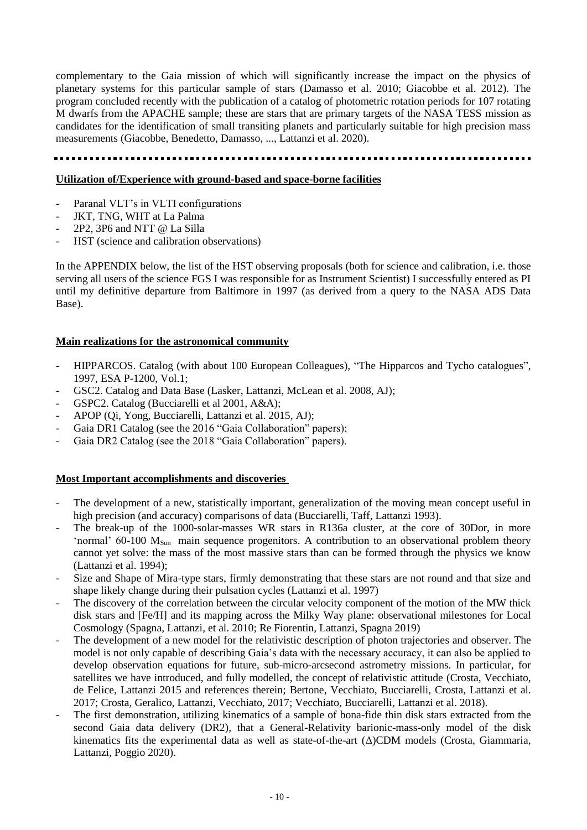complementary to the Gaia mission of which will significantly increase the impact on the physics of planetary systems for this particular sample of stars (Damasso et al. 2010; Giacobbe et al. 2012). The program concluded recently with the publication of a catalog of photometric rotation periods for 107 rotating M dwarfs from the APACHE sample; these are stars that are primary targets of the NASA TESS mission as candidates for the identification of small transiting planets and particularly suitable for high precision mass measurements (Giacobbe, Benedetto, Damasso, ..., Lattanzi et al. 2020).

# **Utilization of/Experience with ground-based and space-borne facilities**

- Paranal VLT's in VLTI configurations
- JKT, TNG, WHT at La Palma
- 2P2, 3P6 and NTT @ La Silla
- HST (science and calibration observations)

In the APPENDIX below, the list of the HST observing proposals (both for science and calibration, i.e. those serving all users of the science FGS I was responsible for as Instrument Scientist) I successfully entered as PI until my definitive departure from Baltimore in 1997 (as derived from a query to the NASA ADS Data Base).

# **Main realizations for the astronomical community**

- HIPPARCOS. Catalog (with about 100 European Colleagues), "The Hipparcos and Tycho catalogues", 1997, ESA P-1200, Vol.1;
- GSC2. Catalog and Data Base (Lasker, Lattanzi, McLean et al. 2008, AJ);
- GSPC2. Catalog (Bucciarelli et al 2001, A&A);
- APOP (Qi, Yong, Bucciarelli, Lattanzi et al. 2015, AJ);
- Gaia DR1 Catalog (see the 2016 "Gaia Collaboration" papers);
- Gaia DR2 Catalog (see the 2018 "Gaia Collaboration" papers).

# **Most Important accomplishments and discoveries**

- The development of a new, statistically important, generalization of the moving mean concept useful in high precision (and accuracy) comparisons of data (Bucciarelli, Taff, Lattanzi 1993).
- The break-up of the 1000-solar-masses WR stars in R136a cluster, at the core of 30Dor, in more 'normal'  $60-100$   $M_{Sun}$  main sequence progenitors. A contribution to an observational problem theory cannot yet solve: the mass of the most massive stars than can be formed through the physics we know (Lattanzi et al. 1994);
- Size and Shape of Mira-type stars, firmly demonstrating that these stars are not round and that size and shape likely change during their pulsation cycles (Lattanzi et al. 1997)
- The discovery of the correlation between the circular velocity component of the motion of the MW thick disk stars and [Fe/H] and its mapping across the Milky Way plane: observational milestones for Local Cosmology (Spagna, Lattanzi, et al. 2010; Re Fiorentin, Lattanzi, Spagna 2019)
- The development of a new model for the relativistic description of photon trajectories and observer. The model is not only capable of describing Gaia's data with the necessary accuracy, it can also be applied to develop observation equations for future, sub-micro-arcsecond astrometry missions. In particular, for satellites we have introduced, and fully modelled, the concept of relativistic attitude (Crosta, Vecchiato, de Felice, Lattanzi 2015 and references therein; Bertone, Vecchiato, Bucciarelli, Crosta, Lattanzi et al. 2017; Crosta, Geralico, Lattanzi, Vecchiato, 2017; Vecchiato, Bucciarelli, Lattanzi et al. 2018).
- The first demonstration, utilizing kinematics of a sample of bona-fide thin disk stars extracted from the second Gaia data delivery (DR2), that a General-Relativity barionic-mass-only model of the disk kinematics fits the experimental data as well as state-of-the-art (Δ)CDM models (Crosta, Giammaria, Lattanzi, Poggio 2020).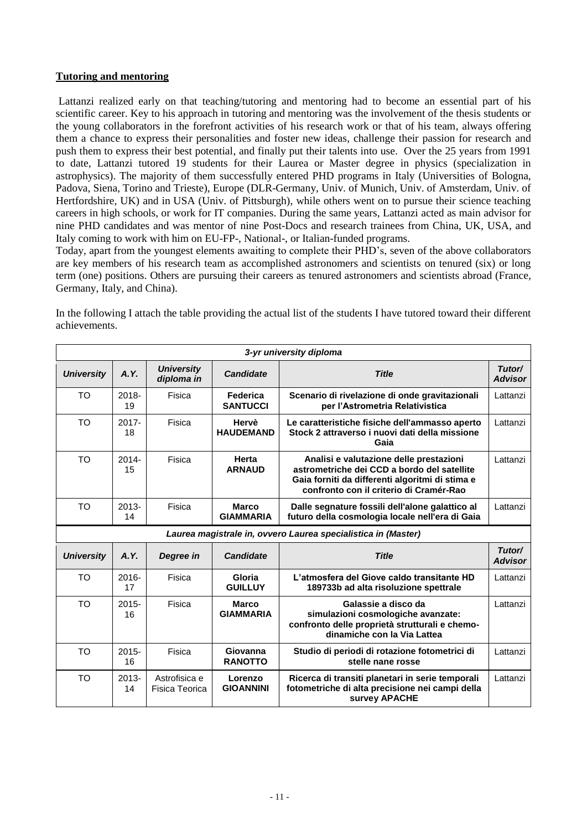# **Tutoring and mentoring**

Lattanzi realized early on that teaching/tutoring and mentoring had to become an essential part of his scientific career. Key to his approach in tutoring and mentoring was the involvement of the thesis students or the young collaborators in the forefront activities of his research work or that of his team, always offering them a chance to express their personalities and foster new ideas, challenge their passion for research and push them to express their best potential, and finally put their talents into use. Over the 25 years from 1991 to date, Lattanzi tutored 19 students for their Laurea or Master degree in physics (specialization in astrophysics). The majority of them successfully entered PHD programs in Italy (Universities of Bologna, Padova, Siena, Torino and Trieste), Europe (DLR-Germany, Univ. of Munich, Univ. of Amsterdam, Univ. of Hertfordshire, UK) and in USA (Univ. of Pittsburgh), while others went on to pursue their science teaching careers in high schools, or work for IT companies. During the same years, Lattanzi acted as main advisor for nine PHD candidates and was mentor of nine Post-Docs and research trainees from China, UK, USA, and Italy coming to work with him on EU-FP-, National-, or Italian-funded programs.

Today, apart from the youngest elements awaiting to complete their PHD's, seven of the above collaborators are key members of his research team as accomplished astronomers and scientists on tenured (six) or long term (one) positions. Others are pursuing their careers as tenured astronomers and scientists abroad (France, Germany, Italy, and China).

In the following I attach the table providing the actual list of the students I have tutored toward their different achievements.

| 3-yr university diploma |                |                                 |                                  |                                                                                                                                                                                      |                          |
|-------------------------|----------------|---------------------------------|----------------------------------|--------------------------------------------------------------------------------------------------------------------------------------------------------------------------------------|--------------------------|
| <b>University</b>       | A.Y.           | <b>University</b><br>diploma in | <b>Candidate</b>                 | <b>Title</b>                                                                                                                                                                         | Tutor/<br><b>Advisor</b> |
| <b>TO</b>               | $2018 -$<br>19 | Fisica                          | Federica<br><b>SANTUCCI</b>      | Scenario di rivelazione di onde gravitazionali<br>per l'Astrometria Relativistica                                                                                                    | Lattanzi                 |
| <b>TO</b>               | $2017 -$<br>18 | Fisica                          | Hervè<br><b>HAUDEMAND</b>        | Le caratteristiche fisiche dell'ammasso aperto<br>Stock 2 attraverso i nuovi dati della missione<br>Gaia                                                                             | Lattanzi                 |
| <b>TO</b>               | $2014 -$<br>15 | Fisica                          | Herta<br><b>ARNAUD</b>           | Analisi e valutazione delle prestazioni<br>astrometriche dei CCD a bordo del satellite<br>Gaia forniti da differenti algoritmi di stima e<br>confronto con il criterio di Cramér-Rao | Lattanzi                 |
| <b>TO</b>               | $2013 -$<br>14 | Fisica                          | <b>Marco</b><br><b>GIAMMARIA</b> | Dalle segnature fossili dell'alone galattico al<br>futuro della cosmologia locale nell'era di Gaia                                                                                   | Lattanzi                 |
|                         |                |                                 |                                  | Laurea magistrale in, ovvero Laurea specialistica in (Master)                                                                                                                        |                          |
| <b>University</b>       | A.Y.           |                                 |                                  |                                                                                                                                                                                      |                          |
|                         |                | Degree in                       | <b>Candidate</b>                 | <b>Title</b>                                                                                                                                                                         | Tutor/<br><b>Advisor</b> |
| <b>TO</b>               | 2016-<br>17    | Fisica                          | Gloria<br><b>GUILLUY</b>         | L'atmosfera del Giove caldo transitante HD<br>189733b ad alta risoluzione spettrale                                                                                                  | Lattanzi                 |
| <b>TO</b>               | $2015 -$<br>16 | Fisica                          | <b>Marco</b><br><b>GIAMMARIA</b> | Galassie a disco da<br>simulazioni cosmologiche avanzate:<br>confronto delle proprietà strutturali e chemo-<br>dinamiche con la Via Lattea                                           | Lattanzi                 |
| <b>TO</b>               | $2015 -$<br>16 | Fisica                          | Giovanna<br><b>RANOTTO</b>       | Studio di periodi di rotazione fotometrici di<br>stelle nane rosse                                                                                                                   | Lattanzi                 |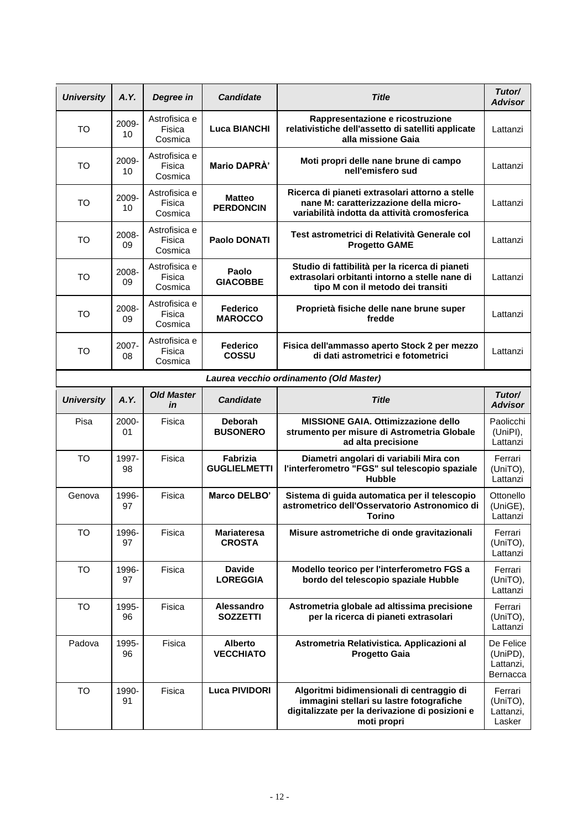| <b>University</b> | A.Y.        | Degree in                          | <b>Candidate</b>                       | <b>Title</b>                                                                                                                                            | Tutor/<br><b>Advisor</b>                       |
|-------------------|-------------|------------------------------------|----------------------------------------|---------------------------------------------------------------------------------------------------------------------------------------------------------|------------------------------------------------|
| <b>TO</b>         | 2009-<br>10 | Astrofisica e<br>Fisica<br>Cosmica | <b>Luca BIANCHI</b>                    | Rappresentazione e ricostruzione<br>relativistiche dell'assetto di satelliti applicate<br>alla missione Gaia                                            | Lattanzi                                       |
| <b>TO</b>         | 2009-<br>10 | Astrofisica e<br>Fisica<br>Cosmica | Mario DAPRA'                           | Moti propri delle nane brune di campo<br>nell'emisfero sud                                                                                              | Lattanzi                                       |
| <b>TO</b>         | 2009-<br>10 | Astrofisica e<br>Fisica<br>Cosmica | <b>Matteo</b><br><b>PERDONCIN</b>      | Ricerca di pianeti extrasolari attorno a stelle<br>nane M: caratterizzazione della micro-<br>variabilità indotta da attività cromosferica               | Lattanzi                                       |
| <b>TO</b>         | 2008-<br>09 | Astrofisica e<br>Fisica<br>Cosmica | <b>Paolo DONATI</b>                    | Test astrometrici di Relatività Generale col<br><b>Progetto GAME</b>                                                                                    | Lattanzi                                       |
| TO                | 2008-<br>09 | Astrofisica e<br>Fisica<br>Cosmica | Paolo<br><b>GIACOBBE</b>               | Studio di fattibilità per la ricerca di pianeti<br>extrasolari orbitanti intorno a stelle nane di<br>tipo M con il metodo dei transiti                  | Lattanzi                                       |
| <b>TO</b>         | 2008-<br>09 | Astrofisica e<br>Fisica<br>Cosmica | <b>Federico</b><br><b>MAROCCO</b>      | Proprietà fisiche delle nane brune super<br>fredde                                                                                                      | Lattanzi                                       |
| <b>TO</b>         | 2007-<br>08 | Astrofisica e<br>Fisica<br>Cosmica | Federico<br>COSSU                      | Fisica dell'ammasso aperto Stock 2 per mezzo<br>di dati astrometrici e fotometrici                                                                      | Lattanzi                                       |
|                   |             |                                    |                                        | Laurea vecchio ordinamento (Old Master)                                                                                                                 |                                                |
| <b>University</b> | A.Y.        | <b>Old Master</b><br>in            | <b>Candidate</b>                       | <b>Title</b>                                                                                                                                            | Tutor/<br><b>Advisor</b>                       |
| Pisa              | 2000-<br>01 | Fisica                             | <b>Deborah</b><br><b>BUSONERO</b>      | <b>MISSIONE GAIA, Ottimizzazione dello</b><br>strumento per misure di Astrometria Globale<br>ad alta precisione                                         | Paolicchi<br>(UniPI),<br>Lattanzi              |
| <b>TO</b>         | 1997-<br>98 | Fisica                             | <b>Fabrizia</b><br><b>GUGLIELMETTI</b> | Diametri angolari di variabili Mira con<br>l'interferometro "FGS" sul telescopio spaziale<br><b>Hubble</b>                                              | Ferrari<br>(UniTO),<br>Lattanzi                |
| Genova            | 1996-<br>97 | Fisica                             | Marco DELBO'                           | Sistema di guida automatica per il telescopio<br>astrometrico dell'Osservatorio Astronomico di<br><b>Torino</b>                                         | Ottonello<br>(UniGE),<br>Lattanzi              |
| <b>TO</b>         | 1996-<br>97 | Fisica                             | <b>Mariateresa</b><br><b>CROSTA</b>    | Misure astrometriche di onde gravitazionali                                                                                                             | Ferrari<br>(UniTO),<br>Lattanzi                |
| TO                | 1996-<br>97 | Fisica                             | <b>Davide</b><br><b>LOREGGIA</b>       | Modello teorico per l'interferometro FGS a<br>bordo del telescopio spaziale Hubble                                                                      | Ferrari<br>(UniTO),<br>Lattanzi                |
| <b>TO</b>         | 1995-<br>96 | Fisica                             | Alessandro<br><b>SOZZETTI</b>          | Astrometria globale ad altissima precisione<br>per la ricerca di pianeti extrasolari                                                                    | Ferrari<br>(UniTO),<br>Lattanzi                |
| Padova            | 1995-<br>96 | Fisica                             | <b>Alberto</b><br><b>VECCHIATO</b>     | Astrometria Relativistica. Applicazioni al<br><b>Progetto Gaia</b>                                                                                      | De Felice<br>(UniPD),<br>Lattanzi,<br>Bernacca |
| <b>TO</b>         | 1990-<br>91 | Fisica                             | <b>Luca PIVIDORI</b>                   | Algoritmi bidimensionali di centraggio di<br>immagini stellari su lastre fotografiche<br>digitalizzate per la derivazione di posizioni e<br>moti propri | Ferrari<br>(UniTO),<br>Lattanzi,<br>Lasker     |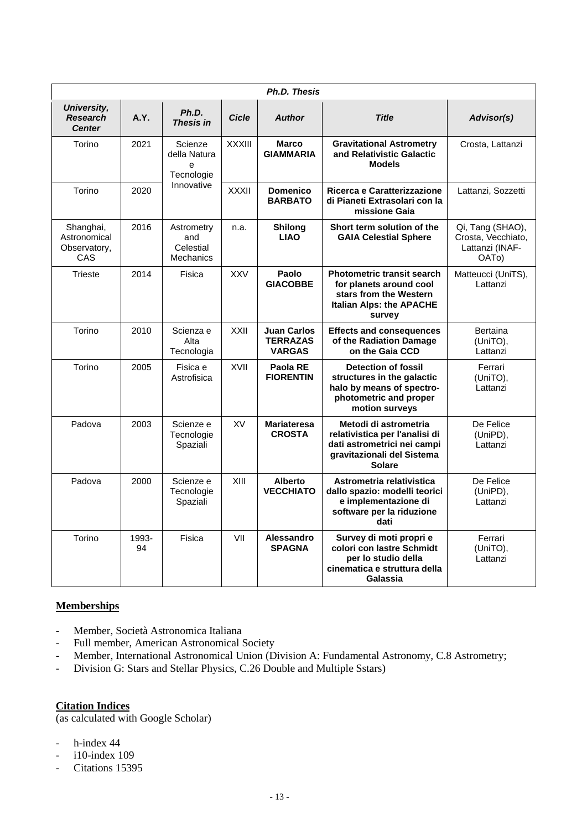|                                                  |             |                                                    |               | <b>Ph.D. Thesis</b>                                    |                                                                                                                                       |                                                                                 |
|--------------------------------------------------|-------------|----------------------------------------------------|---------------|--------------------------------------------------------|---------------------------------------------------------------------------------------------------------------------------------------|---------------------------------------------------------------------------------|
| University,<br><b>Research</b><br><b>Center</b>  | A.Y.        | Ph.D.<br><b>Thesis in</b>                          | <b>Cicle</b>  | <b>Author</b>                                          | <b>Title</b>                                                                                                                          | Advisor(s)                                                                      |
| Torino                                           | 2021        | Scienze<br>della Natura<br>e<br>Tecnologie         | <b>XXXIII</b> | <b>Marco</b><br><b>GIAMMARIA</b>                       | <b>Gravitational Astrometry</b><br>and Relativistic Galactic<br><b>Models</b>                                                         | Crosta, Lattanzi                                                                |
| Torino                                           | 2020        | Innovative                                         | <b>XXXII</b>  | <b>Domenico</b><br><b>BARBATO</b>                      | Ricerca e Caratterizzazione<br>di Pianeti Extrasolari con la<br>missione Gaia                                                         | Lattanzi, Sozzetti                                                              |
| Shanghai,<br>Astronomical<br>Observatory,<br>CAS | 2016        | Astrometry<br>and<br>Celestial<br><b>Mechanics</b> | n.a.          | <b>Shilong</b><br><b>LIAO</b>                          | Short term solution of the<br><b>GAIA Celestial Sphere</b>                                                                            | Qi, Tang (SHAO),<br>Crosta, Vecchiato,<br>Lattanzi (INAF-<br>OAT <sub>o</sub> ) |
| Trieste                                          | 2014        | Fisica                                             | <b>XXV</b>    | Paolo<br><b>GIACOBBE</b>                               | <b>Photometric transit search</b><br>for planets around cool<br>stars from the Western<br><b>Italian Alps: the APACHE</b><br>survey   | Matteucci (UniTS),<br>Lattanzi                                                  |
| Torino                                           | 2010        | Scienza e<br>Alta<br>Tecnologia                    | <b>XXII</b>   | <b>Juan Carlos</b><br><b>TERRAZAS</b><br><b>VARGAS</b> | <b>Effects and consequences</b><br>of the Radiation Damage<br>on the Gaia CCD                                                         | <b>Bertaina</b><br>(UniTO),<br>Lattanzi                                         |
| Torino                                           | 2005        | Fisica e<br>Astrofisica                            | XVII          | Paola RE<br><b>FIORENTIN</b>                           | <b>Detection of fossil</b><br>structures in the galactic<br>halo by means of spectro-<br>photometric and proper<br>motion surveys     | Ferrari<br>(UniTO),<br>Lattanzi                                                 |
| Padova                                           | 2003        | Scienze e<br>Tecnologie<br>Spaziali                | XV            | <b>Mariateresa</b><br><b>CROSTA</b>                    | Metodi di astrometria<br>relativistica per l'analisi di<br>dati astrometrici nei campi<br>gravitazionali del Sistema<br><b>Solare</b> | De Felice<br>(UniPD),<br>Lattanzi                                               |
| Padova                                           | 2000        | Scienze e<br>Tecnologie<br>Spaziali                | XIII          | <b>Alberto</b><br><b>VECCHIATO</b>                     | Astrometria relativistica<br>dallo spazio: modelli teorici<br>e implementazione di<br>software per la riduzione<br>dati               | De Felice<br>(UniPD),<br>Lattanzi                                               |
| Torino                                           | 1993-<br>94 | Fisica                                             | VII           | Alessandro<br><b>SPAGNA</b>                            | Survey di moti propri e<br>colori con lastre Schmidt<br>per lo studio della<br>cinematica e struttura della<br>Galassia               | Ferrari<br>(UniTO),<br>Lattanzi                                                 |

# **Memberships**

- Member, Società Astronomica Italiana
- Full member, American Astronomical Society
- Member, International Astronomical Union (Division A: Fundamental Astronomy, C.8 Astrometry;
- Division G: Stars and Stellar Physics, C.26 Double and Multiple Sstars)

# **Citation Indices**

(as calculated with Google Scholar)

- h-index 44
- i10-index 109
- Citations 15395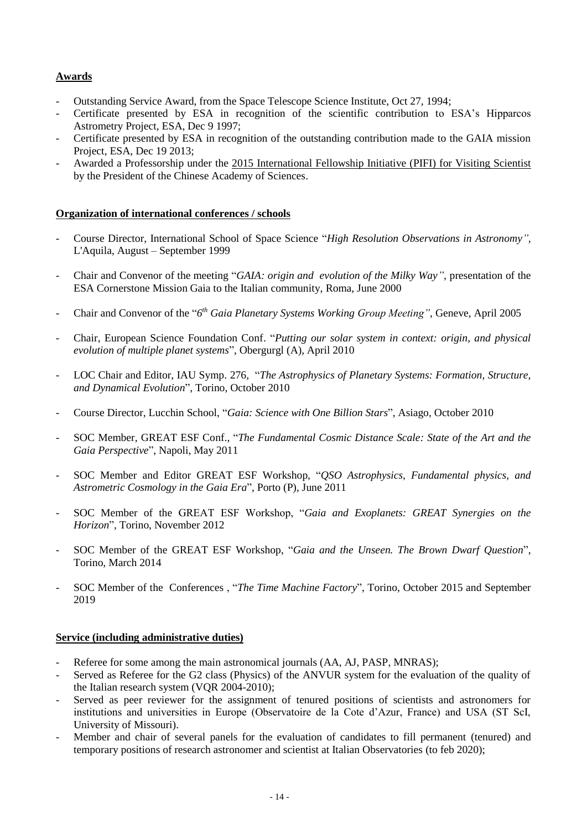# **Awards**

- Outstanding Service Award, from the Space Telescope Science Institute, Oct 27, 1994;
- Certificate presented by ESA in recognition of the scientific contribution to ESA's Hipparcos Astrometry Project, ESA, Dec 9 1997;
- Certificate presented by ESA in recognition of the outstanding contribution made to the GAIA mission Project, ESA, Dec 19 2013;
- Awarded a Professorship under the 2015 International Fellowship Initiative (PIFI) for Visiting Scientist by the President of the Chinese Academy of Sciences.

# **Organization of international conferences / schools**

- Course Director, International School of Space Science "*High Resolution Observations in Astronomy",* L'Aquila, August – September 1999
- Chair and Convenor of the meeting "*GAIA: origin and evolution of the Milky Way"*, presentation of the ESA Cornerstone Mission Gaia to the Italian community, Roma, June 2000
- Chair and Convenor of the "*6 th Gaia Planetary Systems Working Group Meeting"*, Geneve, April 2005
- Chair, European Science Foundation Conf. "*Putting our solar system in context: origin, and physical evolution of multiple planet systems*", Obergurgl (A), April 2010
- LOC Chair and Editor, IAU Symp. 276, "*The Astrophysics of Planetary Systems: Formation, Structure, and Dynamical Evolution*", Torino, October 2010
- Course Director, Lucchin School, "*Gaia: Science with One Billion Stars*", Asiago, October 2010
- SOC Member, GREAT ESF Conf., "*The Fundamental Cosmic Distance Scale: State of the Art and the Gaia Perspective*", Napoli, May 2011
- SOC Member and Editor GREAT ESF Workshop, "*QSO Astrophysics, Fundamental physics, and Astrometric Cosmology in the Gaia Era*", Porto (P), June 2011
- SOC Member of the GREAT ESF Workshop, "*Gaia and Exoplanets: GREAT Synergies on the Horizon*", Torino, November 2012
- SOC Member of the GREAT ESF Workshop, "*Gaia and the Unseen. The Brown Dwarf Question*", Torino, March 2014
- SOC Member of the Conferences , "*The Time Machine Factory*", Torino, October 2015 and September 2019

# **Service (including administrative duties)**

- Referee for some among the main astronomical journals (AA, AJ, PASP, MNRAS);
- Served as Referee for the G2 class (Physics) of the ANVUR system for the evaluation of the quality of the Italian research system (VQR 2004-2010);
- Served as peer reviewer for the assignment of tenured positions of scientists and astronomers for institutions and universities in Europe (Observatoire de la Cote d'Azur, France) and USA (ST ScI, University of Missouri).
- Member and chair of several panels for the evaluation of candidates to fill permanent (tenured) and temporary positions of research astronomer and scientist at Italian Observatories (to feb 2020);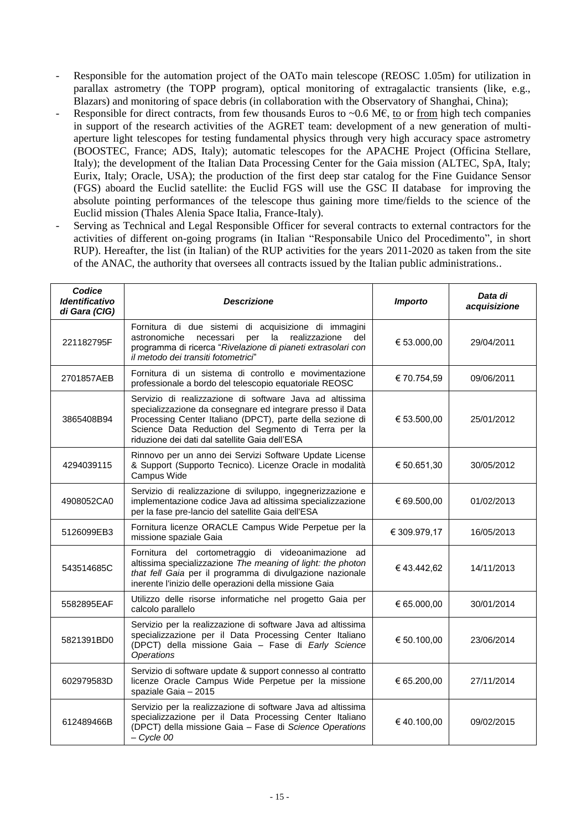- Responsible for the automation project of the OATo main telescope (REOSC 1.05m) for utilization in parallax astrometry (the TOPP program), optical monitoring of extragalactic transients (like, e.g., Blazars) and monitoring of space debris (in collaboration with the Observatory of Shanghai, China);
- Responsible for direct contracts, from few thousands Euros to ~0.6 M $\epsilon$ , to or from high tech companies in support of the research activities of the AGRET team: development of a new generation of multiaperture light telescopes for testing fundamental physics through very high accuracy space astrometry (BOOSTEC, France; ADS, Italy); automatic telescopes for the APACHE Project (Officina Stellare, Italy); the development of the Italian Data Processing Center for the Gaia mission (ALTEC, SpA, Italy; Eurix, Italy; Oracle, USA); the production of the first deep star catalog for the Fine Guidance Sensor (FGS) aboard the Euclid satellite: the Euclid FGS will use the GSC II database for improving the absolute pointing performances of the telescope thus gaining more time/fields to the science of the Euclid mission (Thales Alenia Space Italia, France-Italy).
- Serving as Technical and Legal Responsible Officer for several contracts to external contractors for the activities of different on-going programs (in Italian "Responsabile Unico del Procedimento", in short RUP). Hereafter, the list (in Italian) of the RUP activities for the years 2011-2020 as taken from the site of the ANAC, the authority that oversees all contracts issued by the Italian public administrations..

| Codice<br><b>Identificativo</b><br>di Gara (CIG) | <b>Descrizione</b>                                                                                                                                                                                                                                                                          | <b>Importo</b> | Data di<br>acquisizione |
|--------------------------------------------------|---------------------------------------------------------------------------------------------------------------------------------------------------------------------------------------------------------------------------------------------------------------------------------------------|----------------|-------------------------|
| 221182795F                                       | Fornitura di due sistemi di acquisizione di immagini<br>la<br>realizzazione<br>astronomiche<br>necessari<br>per<br>del<br>programma di ricerca "Rivelazione di pianeti extrasolari con<br>il metodo dei transiti fotometrici"                                                               | € 53.000,00    | 29/04/2011              |
| 2701857AEB                                       | Fornitura di un sistema di controllo e movimentazione<br>professionale a bordo del telescopio equatoriale REOSC                                                                                                                                                                             | € 70.754,59    | 09/06/2011              |
| 3865408B94                                       | Servizio di realizzazione di software Java ad altissima<br>specializzazione da consegnare ed integrare presso il Data<br>Processing Center Italiano (DPCT), parte della sezione di<br>Science Data Reduction del Segmento di Terra per la<br>riduzione dei dati dal satellite Gaia dell'ESA | € 53.500,00    | 25/01/2012              |
| 4294039115                                       | Rinnovo per un anno dei Servizi Software Update License<br>& Support (Supporto Tecnico). Licenze Oracle in modalità<br>Campus Wide                                                                                                                                                          | € 50.651,30    | 30/05/2012              |
| 4908052CA0                                       | Servizio di realizzazione di sviluppo, ingegnerizzazione e<br>implementazione codice Java ad altissima specializzazione<br>per la fase pre-lancio del satellite Gaia dell'ESA                                                                                                               | € 69.500,00    | 01/02/2013              |
| 5126099EB3                                       | Fornitura licenze ORACLE Campus Wide Perpetue per la<br>missione spaziale Gaia                                                                                                                                                                                                              | € 309.979,17   | 16/05/2013              |
| 543514685C                                       | Fornitura del cortometraggio di videoanimazione ad<br>altissima specializzazione The meaning of light: the photon<br>that fell Gaia per il programma di divulgazione nazionale<br>inerente l'inizio delle operazioni della missione Gaia                                                    | €43.442,62     | 14/11/2013              |
| 5582895EAF                                       | Utilizzo delle risorse informatiche nel progetto Gaia per<br>calcolo parallelo                                                                                                                                                                                                              | € 65.000,00    | 30/01/2014              |
| 5821391BD0                                       | Servizio per la realizzazione di software Java ad altissima<br>specializzazione per il Data Processing Center Italiano<br>(DPCT) della missione Gaia - Fase di Early Science<br><b>Operations</b>                                                                                           | € 50.100,00    | 23/06/2014              |
| 602979583D                                       | Servizio di software update & support connesso al contratto<br>licenze Oracle Campus Wide Perpetue per la missione<br>spaziale Gaia - 2015                                                                                                                                                  | € 65.200,00    | 27/11/2014              |
| 612489466B                                       | Servizio per la realizzazione di software Java ad altissima<br>specializzazione per il Data Processing Center Italiano<br>(DPCT) della missione Gaia - Fase di Science Operations<br>$-$ Cycle 00                                                                                           | €40.100,00     | 09/02/2015              |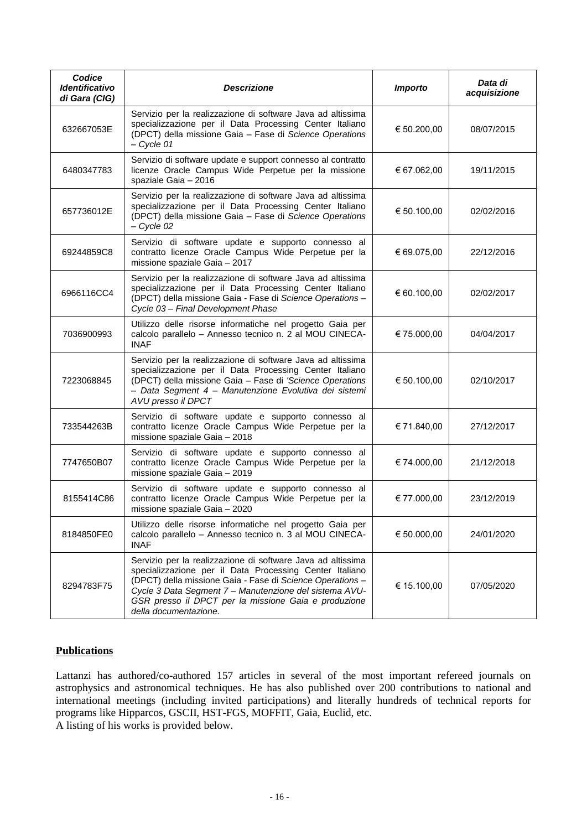| Codice<br><i><b>Identificativo</b></i><br>di Gara (CIG) | <b>Descrizione</b>                                                                                                                                                                                                                                                                                                             | <b>Importo</b> | Data di<br>acquisizione |
|---------------------------------------------------------|--------------------------------------------------------------------------------------------------------------------------------------------------------------------------------------------------------------------------------------------------------------------------------------------------------------------------------|----------------|-------------------------|
| 632667053E                                              | Servizio per la realizzazione di software Java ad altissima<br>specializzazione per il Data Processing Center Italiano<br>(DPCT) della missione Gaia - Fase di Science Operations<br>$-$ Cycle 01                                                                                                                              | € 50.200,00    | 08/07/2015              |
| 6480347783                                              | Servizio di software update e support connesso al contratto<br>licenze Oracle Campus Wide Perpetue per la missione<br>spaziale Gaia - 2016                                                                                                                                                                                     | € 67.062,00    | 19/11/2015              |
| 657736012E                                              | Servizio per la realizzazione di software Java ad altissima<br>specializzazione per il Data Processing Center Italiano<br>(DPCT) della missione Gaia - Fase di Science Operations<br>$-$ Cycle 02                                                                                                                              | € 50.100,00    | 02/02/2016              |
| 69244859C8                                              | Servizio di software update e supporto connesso al<br>contratto licenze Oracle Campus Wide Perpetue per la<br>missione spaziale Gaia - 2017                                                                                                                                                                                    | € 69.075,00    | 22/12/2016              |
| 6966116CC4                                              | Servizio per la realizzazione di software Java ad altissima<br>specializzazione per il Data Processing Center Italiano<br>(DPCT) della missione Gaia - Fase di Science Operations -<br>Cycle 03 - Final Development Phase                                                                                                      | € 60.100,00    | 02/02/2017              |
| 7036900993                                              | Utilizzo delle risorse informatiche nel progetto Gaia per<br>calcolo parallelo - Annesso tecnico n. 2 al MOU CINECA-<br><b>INAF</b>                                                                                                                                                                                            | € 75.000,00    | 04/04/2017              |
| 7223068845                                              | Servizio per la realizzazione di software Java ad altissima<br>specializzazione per il Data Processing Center Italiano<br>(DPCT) della missione Gaia - Fase di 'Science Operations<br>- Data Segment 4 - Manutenzione Evolutiva dei sistemi<br>AVU presso il DPCT                                                              | € 50.100,00    | 02/10/2017              |
| 733544263B                                              | Servizio di software update e supporto connesso al<br>contratto licenze Oracle Campus Wide Perpetue per la<br>missione spaziale Gaia - 2018                                                                                                                                                                                    | € 71.840,00    | 27/12/2017              |
| 7747650B07                                              | Servizio di software update e supporto connesso al<br>contratto licenze Oracle Campus Wide Perpetue per la<br>missione spaziale Gaia - 2019                                                                                                                                                                                    | € 74.000,00    | 21/12/2018              |
| 8155414C86                                              | Servizio di software update e supporto connesso al<br>contratto licenze Oracle Campus Wide Perpetue per la<br>missione spaziale Gaia – 2020                                                                                                                                                                                    | € 77.000,00    | 23/12/2019              |
| 8184850FE0                                              | Utilizzo delle risorse informatiche nel progetto Gaia per<br>calcolo parallelo - Annesso tecnico n. 3 al MOU CINECA-<br><b>INAF</b>                                                                                                                                                                                            | € 50.000,00    | 24/01/2020              |
| 8294783F75                                              | Servizio per la realizzazione di software Java ad altissima<br>specializzazione per il Data Processing Center Italiano<br>(DPCT) della missione Gaia - Fase di Science Operations -<br>Cycle 3 Data Segment 7 - Manutenzione del sistema AVU-<br>GSR presso il DPCT per la missione Gaia e produzione<br>della documentazione. | € 15.100,00    | 07/05/2020              |

# **Publications**

Lattanzi has authored/co-authored 157 articles in several of the most important refereed journals on astrophysics and astronomical techniques. He has also published over 200 contributions to national and international meetings (including invited participations) and literally hundreds of technical reports for programs like Hipparcos, GSCII, HST-FGS, MOFFIT, Gaia, Euclid, etc.

A listing of his works is provided below.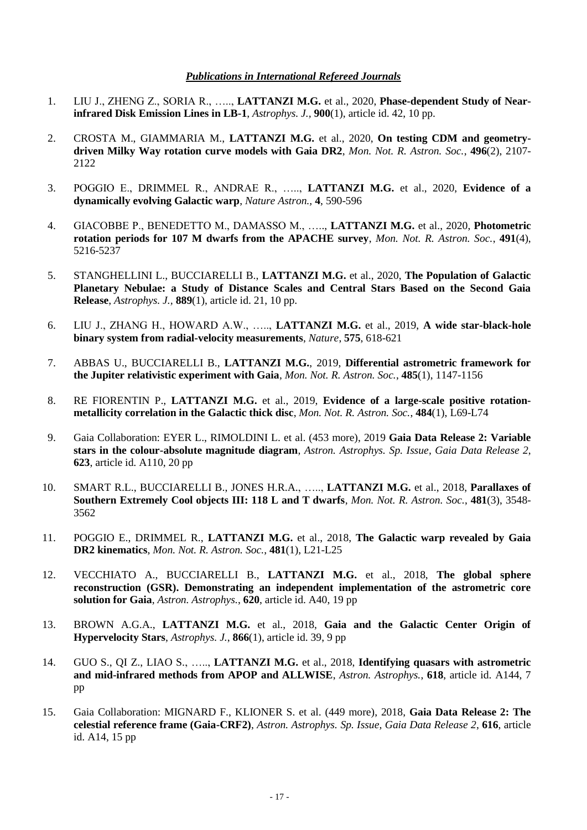# *Publications in International Refereed Journals*

- 1. LIU J., ZHENG Z., SORIA R., ….., **LATTANZI M.G.** et al., 2020, **Phase-dependent Study of Nearinfrared Disk Emission Lines in LB-1**, *Astrophys. J.,* **900**(1), article id. 42, 10 pp.
- 2. CROSTA M., GIAMMARIA M., **LATTANZI M.G.** et al., 2020, **On testing CDM and geometrydriven Milky Way rotation curve models with Gaia DR2**, *Mon. Not. R. Astron. Soc.*, **496**(2), 2107- 2122
- 3. POGGIO E., DRIMMEL R., ANDRAE R., ….., **LATTANZI M.G.** et al., 2020, **Evidence of a dynamically evolving Galactic warp**, *Nature Astron.,* **4**, 590-596
- 4. GIACOBBE P., BENEDETTO M., DAMASSO M., ….., **LATTANZI M.G.** et al., 2020, **Photometric rotation periods for 107 M dwarfs from the APACHE survey**, *Mon. Not. R. Astron. Soc.*, **491**(4), 5216-5237
- 5. STANGHELLINI L., BUCCIARELLI B., **LATTANZI M.G.** et al., 2020, **The Population of Galactic Planetary Nebulae: a Study of Distance Scales and Central Stars Based on the Second Gaia Release**, *Astrophys. J.,* **889**(1), article id. 21, 10 pp.
- 6. LIU J., ZHANG H., HOWARD A.W., ….., **LATTANZI M.G.** et al., 2019, **A wide star-black-hole binary system from radial-velocity measurements**, *Nature*, **575**, 618-621
- 7. ABBAS U., BUCCIARELLI B., **LATTANZI M.G.**, 2019, **Differential astrometric framework for the Jupiter relativistic experiment with Gaia**, *Mon. Not. R. Astron. Soc.*, **485**(1), 1147-1156
- 8. RE FIORENTIN P., **LATTANZI M.G.** et al., 2019, **Evidence of a large-scale positive rotationmetallicity correlation in the Galactic thick disc**, *Mon. Not. R. Astron. Soc.*, **484**(1), L69-L74
- 9. Gaia Collaboration: EYER L., RIMOLDINI L. et al. (453 more), 2019 **Gaia Data Release 2: Variable stars in the colour-absolute magnitude diagram**, *Astron. Astrophys. Sp. Issue, Gaia Data Release 2*, **623**, article id. A110, 20 pp
- 10. SMART R.L., BUCCIARELLI B., JONES H.R.A., ….., **LATTANZI M.G.** et al., 2018, **Parallaxes of Southern Extremely Cool objects III: 118 L and T dwarfs**, *Mon. Not. R. Astron. Soc.*, **481**(3), 3548- 3562
- 11. POGGIO E., DRIMMEL R., **LATTANZI M.G.** et al., 2018, **The Galactic warp revealed by Gaia DR2 kinematics**, *Mon. Not. R. Astron. Soc.*, **481**(1), L21-L25
- 12. VECCHIATO A., BUCCIARELLI B., **LATTANZI M.G.** et al., 2018, **The global sphere reconstruction (GSR). Demonstrating an independent implementation of the astrometric core solution for Gaia**, *Astron. Astrophys.*, **620**, article id. A40, 19 pp
- 13. BROWN A.G.A., **LATTANZI M.G.** et al., 2018, **Gaia and the Galactic Center Origin of Hypervelocity Stars**, *Astrophys. J.*, **866**(1), article id. 39, 9 pp
- 14. GUO S., QI Z., LIAO S., ….., **LATTANZI M.G.** et al., 2018, **Identifying quasars with astrometric and mid-infrared methods from APOP and ALLWISE**, *Astron. Astrophys.*, **618**, article id. A144, 7 pp
- 15. Gaia Collaboration: MIGNARD F., KLIONER S. et al. (449 more), 2018, **Gaia Data Release 2: The celestial reference frame (Gaia-CRF2)**, *Astron. Astrophys. Sp. Issue, Gaia Data Release 2*, **616**, article id. A14, 15 pp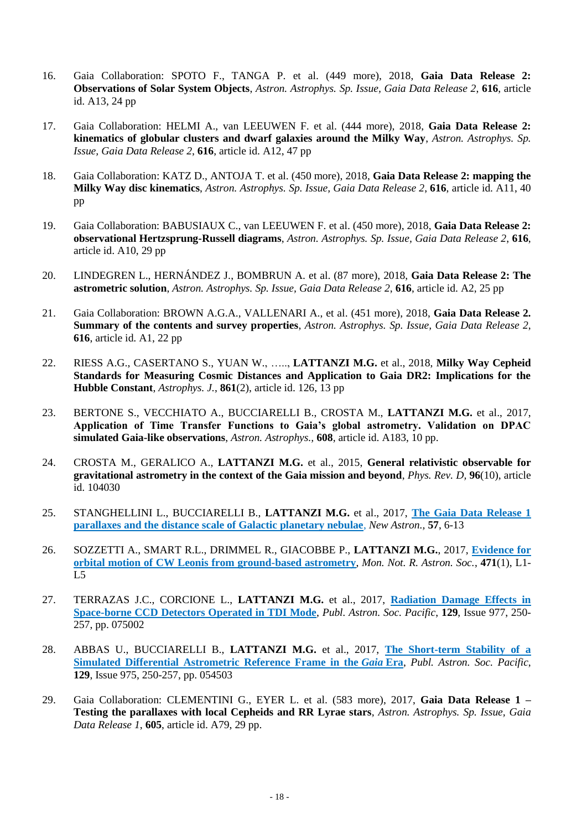- 16. Gaia Collaboration: SPOTO F., TANGA P. et al. (449 more), 2018, **Gaia Data Release 2: Observations of Solar System Objects**, *Astron. Astrophys. Sp. Issue, Gaia Data Release 2*, **616**, article id. A13, 24 pp
- 17. Gaia Collaboration: HELMI A., van LEEUWEN F. et al. (444 more), 2018, **Gaia Data Release 2: kinematics of globular clusters and dwarf galaxies around the Milky Way**, *Astron. Astrophys. Sp. Issue, Gaia Data Release 2*, **616**, article id. A12, 47 pp
- 18. Gaia Collaboration: KATZ D., ANTOJA T. et al. (450 more), 2018, **Gaia Data Release 2: mapping the Milky Way disc kinematics**, *Astron. Astrophys. Sp. Issue, Gaia Data Release 2*, **616**, article id. A11, 40 pp
- 19. Gaia Collaboration: BABUSIAUX C., van LEEUWEN F. et al. (450 more), 2018, **Gaia Data Release 2: observational Hertzsprung-Russell diagrams**, *Astron. Astrophys. Sp. Issue, Gaia Data Release 2*, **616**, article id. A10, 29 pp
- 20. LINDEGREN L., HERNÁNDEZ J., BOMBRUN A. et al. (87 more), 2018, **Gaia Data Release 2: The astrometric solution**, *Astron. Astrophys. Sp. Issue, Gaia Data Release 2*, **616**, article id. A2, 25 pp
- 21. Gaia Collaboration: BROWN A.G.A., VALLENARI A., et al. (451 more), 2018, **Gaia Data Release 2. Summary of the contents and survey properties**, *Astron. Astrophys. Sp. Issue, Gaia Data Release 2*, **616**, article id. A1, 22 pp
- 22. RIESS A.G., CASERTANO S., YUAN W., ….., **LATTANZI M.G.** et al., 2018, **Milky Way Cepheid Standards for Measuring Cosmic Distances and Application to Gaia DR2: Implications for the Hubble Constant**, *Astrophys. J.*, **861**(2), article id. 126, 13 pp
- 23. BERTONE S., VECCHIATO A., BUCCIARELLI B., CROSTA M., **LATTANZI M.G.** et al., 2017, **Application of Time Transfer Functions to Gaia's global astrometry. Validation on DPAC simulated Gaia-like observations**, *Astron. Astrophys.,* **608**, article id. A183, 10 pp.
- 24. CROSTA M., GERALICO A., **LATTANZI M.G.** et al., 2015, **General relativistic observable for gravitational astrometry in the context of the Gaia mission and beyond**, *Phys. Rev. D,* **96**(10), article id. 104030
- 25. STANGHELLINI L., BUCCIARELLI B., **LATTANZI M.G.** et al., 2017, **[The Gaia Data Release 1](http://www.sciencedirect.com/science/article/pii/S1384107617301379?via%3Dihub)  [parallaxes and the distance scale of Galactic planetary nebulae](http://www.sciencedirect.com/science/article/pii/S1384107617301379?via%3Dihub)**, *New Astron.,* **57**, 6-13
- 26. SOZZETTI A., SMART R.L., DRIMMEL R., GIACOBBE P., **LATTANZI M.G.**, 2017, **[Evidence for](https://academic.oup.com/mnrasl/article-abstract/471/1/L1/3860091/Evidence-for-orbital-motion-of-CW-Leonis-from?redirectedFrom=fulltext)  [orbital motion of CW Leonis from ground-based astrometry](https://academic.oup.com/mnrasl/article-abstract/471/1/L1/3860091/Evidence-for-orbital-motion-of-CW-Leonis-from?redirectedFrom=fulltext)**, *Mon. Not. R. Astron. Soc.*, **471**(1), L1- L5
- 27. TERRAZAS J.C., CORCIONE L., **LATTANZI M.G.** et al., 2017, **[Radiation Damage Effects in](http://iopscience.iop.org/article/10.1088/1538-3873/aa69b9/pdf)  [Space-borne CCD Detectors Operated in TDI Mode](http://iopscience.iop.org/article/10.1088/1538-3873/aa69b9/pdf)**, *Publ. Astron. Soc. Pacific*, **129**, Issue 977, 250- 257, pp. 075002
- 28. ABBAS U., BUCCIARELLI B., **LATTANZI M.G.** et al., 2017, **[The Short-term Stability of a](http://iopscience.iop.org/article/10.1088/1538-3873/aa60ba/pdf)  [Simulated Differential Astrometric Reference Frame in the](http://iopscience.iop.org/article/10.1088/1538-3873/aa60ba/pdf)** *Gaia* **Era**, *Publ. Astron. Soc. Pacific*, **129**, Issue 975, 250-257, pp. 054503
- 29. Gaia Collaboration: CLEMENTINI G., EYER L. et al. (583 more), 2017, **Gaia Data Release 1 – Testing the parallaxes with local Cepheids and RR Lyrae stars**, *Astron. Astrophys. Sp. Issue, Gaia Data Release 1*, **605**, article id. A79, 29 pp.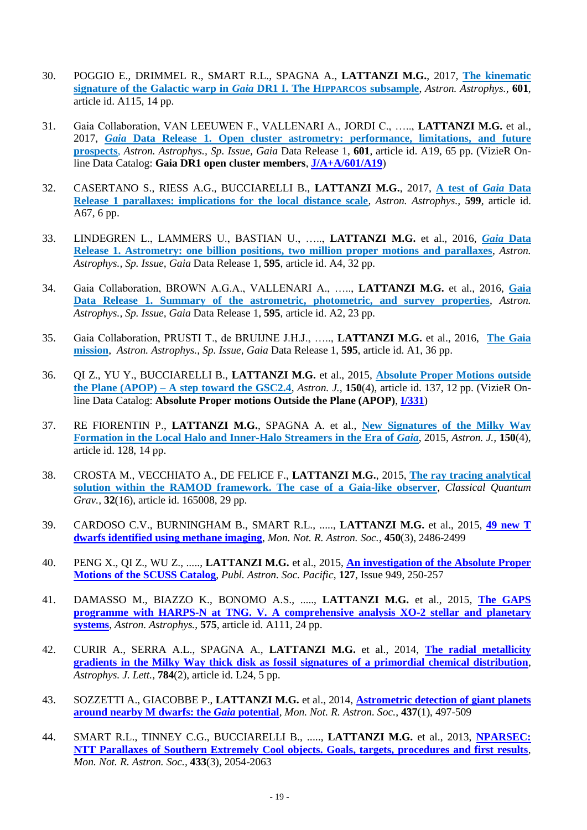- 30. POGGIO E., DRIMMEL R., SMART R.L., SPAGNA A., **LATTANZI M.G.**, 2017, **[The kinematic](https://www.aanda.org/articles/aa/pdf/2017/05/aa29916-16.pdf)  [signature of the Galactic warp in](https://www.aanda.org/articles/aa/pdf/2017/05/aa29916-16.pdf)** *Gaia* **DR1 I. The HIPPARCOS subsample**, *Astron. Astrophys.,* **601**, article id. A115, 14 pp.
- 31. Gaia Collaboration, VAN LEEUWEN F., VALLENARI A., JORDI C., ….., **LATTANZI M.G.** et al., 2017, *Gaia* **[Data Release 1. Open cluster astrometry: performance, limitations, and future](https://www.aanda.org/articles/aa/pdf/2017/05/aa30552-17.pdf)  [prospects](https://www.aanda.org/articles/aa/pdf/2017/05/aa30552-17.pdf)**, *Astron. Astrophys., Sp. Issue, Gaia* Data Release 1, **601**, article id. A19, 65 pp. (VizieR Online Data Catalog: **Gaia DR1 open cluster members**, **[J/A+A/601/A19](http://vizier.u-strasbg.fr/viz-bin/VizieR?-source=J%2FA%2BA%2F601%2FA19)**)
- 32. CASERTANO S., RIESS A.G., BUCCIARELLI B., **LATTANZI M.G.**, 2017, **[A test of](https://www.aanda.org/articles/aa/pdf/2017/03/aa29733-16.pdf)** *Gaia* **Data [Release 1 parallaxes: implications for the local distance scale](https://www.aanda.org/articles/aa/pdf/2017/03/aa29733-16.pdf)**, *Astron. Astrophys.,* **599**, article id. A67, 6 pp.
- 33. LINDEGREN L., LAMMERS U., BASTIAN U., ….., **LATTANZI M.G.** et al., 2016, *Gaia* **[Data](http://www.aanda.org/articles/aa/abs/2016/11/aa28714-16/aa28714-16.html)  [Release 1. Astrometry: one billion positions, two million proper motions and parallaxes](http://www.aanda.org/articles/aa/abs/2016/11/aa28714-16/aa28714-16.html)**, *Astron. Astrophys., Sp. Issue, Gaia* Data Release 1, **595**, article id. A4, 32 pp.
- 34. Gaia Collaboration, BROWN A.G.A., VALLENARI A., ….., **LATTANZI M.G.** et al., 2016, **[Gaia](https://www.aanda.org/articles/aa/pdf/2016/11/aa29512-16.pdf)  [Data Release 1. Summary of the astrometric, photometric, and survey properties](https://www.aanda.org/articles/aa/pdf/2016/11/aa29512-16.pdf)**, *Astron. Astrophys., Sp. Issue, Gaia* Data Release 1, **595**, article id. A2, 23 pp.
- 35. Gaia Collaboration, PRUSTI T., de BRUIJNE J.H.J., ….., **LATTANZI M.G.** et al., 2016, **[The Gaia](https://www.aanda.org/articles/aa/pdf/2016/11/aa29272-16.pdf)  [mission](https://www.aanda.org/articles/aa/pdf/2016/11/aa29272-16.pdf)**, *Astron. Astrophys., Sp. Issue, Gaia* Data Release 1, **595**, article id. A1, 36 pp.
- 36. QI Z., YU Y., BUCCIARELLI B., **LATTANZI M.G.** et al., 2015, **[Absolute Proper Motions outside](http://iopscience.iop.org/article/10.1088/0004-6256/150/4/137/pdf)  the Plane (APOP) – [A step toward the GSC2.4](http://iopscience.iop.org/article/10.1088/0004-6256/150/4/137/pdf)**, *Astron. J.,* **150**(4), article id. 137, 12 pp. (VizieR Online Data Catalog: **Absolute Proper motions Outside the Plane (APOP)**, **[I/331](http://vizier.u-strasbg.fr/viz-bin/VizieR?-source=I/331)**)
- 37. RE FIORENTIN P., **LATTANZI M.G.**, SPAGNA A. et al., **[New Signatures of the Milky Way](http://iopscience.iop.org/article/10.1088/0004-6256/150/4/128/pdf)  [Formation in the Local Halo and Inner-Halo Streamers in the Era of](http://iopscience.iop.org/article/10.1088/0004-6256/150/4/128/pdf)** *Gaia*, 2015, *Astron. J.,* **150**(4), article id. 128, 14 pp.
- 38. CROSTA M., VECCHIATO A., DE FELICE F., **LATTANZI M.G.**, 2015, **[The ray tracing analytical](http://iopscience.iop.org/article/10.1088/0264-9381/32/16/165008/meta;jsessionid=4F5C109A86AAAF2428930D47D2017AF8.c2.iopscience.cld.iop.org)  [solution within the RAMOD framework. The case of a Gaia-like observer](http://iopscience.iop.org/article/10.1088/0264-9381/32/16/165008/meta;jsessionid=4F5C109A86AAAF2428930D47D2017AF8.c2.iopscience.cld.iop.org)**, *Classical Quantum Grav.,* **32**(16), article id. 165008, 29 pp.
- 39. CARDOSO C.V., BURNINGHAM B., SMART R.L., ....., **LATTANZI M.G.** et al., 2015, **[49 new T](http://mnras.oxfordjournals.org/content/450/3/2486)  [dwarfs identified using methane imaging](http://mnras.oxfordjournals.org/content/450/3/2486)**, *Mon. Not. R. Astron. Soc.*, **450**(3), 2486-2499
- 40. PENG X., QI Z., WU Z., ....., **LATTANZI M.G.** et al., 2015, **[An investigation of the Absolute Proper](http://www.jstor.org/discover/10.1086/680447?uid=3738296&uid=2&uid=4&sid=21106399257213)  [Motions of the SCUSS Catalog](http://www.jstor.org/discover/10.1086/680447?uid=3738296&uid=2&uid=4&sid=21106399257213)**, *Publ. Astron. Soc. Pacific*, **127**, Issue 949, 250-257
- 41. DAMASSO M., BIAZZO K., BONOMO A.S., ....., **LATTANZI M.G.** et al., 2015, **[The GAPS](http://www.aanda.org/articles/aa/abs/2015/03/aa25332-14/aa25332-14.html)  [programme with HARPS-N at TNG. V. A comprehensive analysis XO-2 stellar and planetary](http://www.aanda.org/articles/aa/abs/2015/03/aa25332-14/aa25332-14.html)  [systems](http://www.aanda.org/articles/aa/abs/2015/03/aa25332-14/aa25332-14.html)**, *Astron. Astrophys.*, **575**, article id. A111, 24 pp.
- 42. CURIR A., SERRA A.L., SPAGNA A., **LATTANZI M.G.** et al., 2014, **[The radial metallicity](http://iopscience.iop.org/2041-8205/784/2/L24/)  [gradients in the Milky Way thick disk as fossil signatures of a primordial chemical distribution](http://iopscience.iop.org/2041-8205/784/2/L24/)**, *Astrophys. J. Lett.,* **784**(2), article id. L24, 5 pp.
- 43. SOZZETTI A., GIACOBBE P., **LATTANZI M.G.** et al., 2014, **[Astrometric detection of](http://mnras.oxfordjournals.org/content/437/1/497) giant planets [around nearby M dwarfs: the](http://mnras.oxfordjournals.org/content/437/1/497)** *Gaia* **potential**, *Mon. Not. R. Astron. Soc.*, **437**(1), 497-509
- 44. SMART R.L., TINNEY C.G., BUCCIARELLI B., ....., **LATTANZI M.G.** et al., 2013, **[NPARSEC:](http://mnras.oxfordjournals.org/content/433/3/2054)  [NTT Parallaxes of Southern Extremely Cool objects. Goals, targets, procedures and first results](http://mnras.oxfordjournals.org/content/433/3/2054)**, *Mon. Not. R. Astron. Soc.,* **433**(3), 2054-2063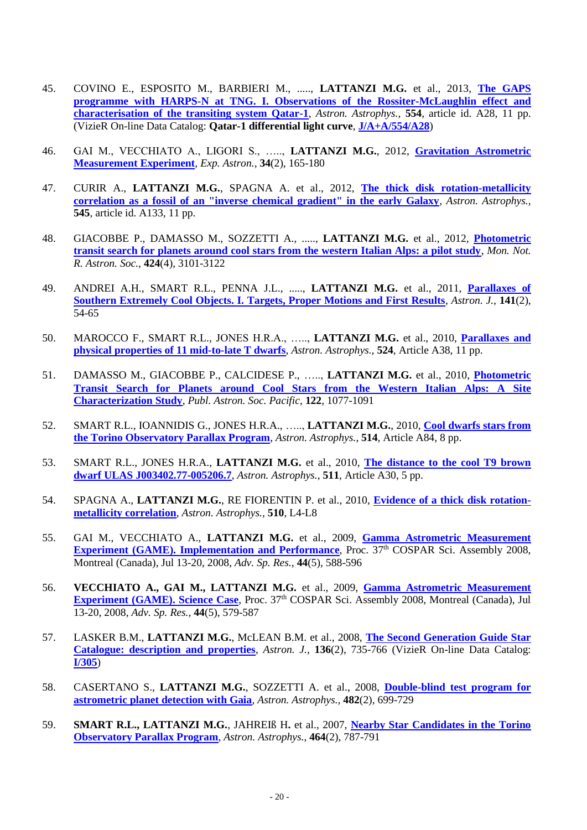- 45. COVINO E., ESPOSITO M., BARBIERI M., ....., **LATTANZI M.G.** et al., 2013, **[The GAPS](http://www.aanda.org/articles/aa/abs/2013/06/aa21298-13/aa21298-13.html)  [programme with HARPS-N at TNG. I. Observations of the Rossiter-McLaughlin effect and](http://www.aanda.org/articles/aa/abs/2013/06/aa21298-13/aa21298-13.html)  [characterisation of the transiting system Qatar-1](http://www.aanda.org/articles/aa/abs/2013/06/aa21298-13/aa21298-13.html)**, *Astron. Astrophys.,* **554**, article id. A28, 11 pp. (VizieR On-line Data Catalog: **Qatar-1 differential light curve**, **[J/A+A/554/A28](http://vizier.u-strasbg.fr/viz-bin/VizieR?-source=J/A+A/554/A28)**)
- 46. GAI M., VECCHIATO A., LIGORI S., ….., **LATTANZI M.G.**, 2012, **[Gravitation Astrometric](http://link.springer.com/article/10.1007/s10686-012-9304-3)  [Measurement Experiment](http://link.springer.com/article/10.1007/s10686-012-9304-3)**, *Exp. Astron.,* **34**(2), 165-180
- 47. CURIR A., **LATTANZI M.G.**, SPAGNA A. et al., 2012, **[The thick disk rotation-metallicity](http://www.aanda.org/index.php?option=com_article&access=doi&doi=10.1051/0004-6361/201118558&Itemid=129)  [correlation as a fossil of an "inverse chemical gradient" in the early Galaxy](http://www.aanda.org/index.php?option=com_article&access=doi&doi=10.1051/0004-6361/201118558&Itemid=129)**, *Astron. Astrophys.,*  **545**, article id. A133, 11 pp.
- 48. GIACOBBE P., DAMASSO M., SOZZETTI A., ....., **LATTANZI M.G.** et al., 2012, **[Photometric](http://onlinelibrary.wiley.com/doi/10.1111/j.1365-2966.2012.21467.x/full)  [transit search for planets around cool stars from the western Italian Alps: a pilot study](http://onlinelibrary.wiley.com/doi/10.1111/j.1365-2966.2012.21467.x/full)**, *Mon. Not. R. Astron. Soc.,* **424**(4), 3101-3122
- 49. ANDREI A.H., SMART R.L., PENNA J.L., ....., **LATTANZI M.G.** et al., 2011, **[Parallaxes of](http://iopscience.iop.org/1538-3881/141/2/54/)  [Southern Extremely Cool Objects. I. Targets, Proper Motions and First Results](http://iopscience.iop.org/1538-3881/141/2/54/)**, *Astron. J.,* **141**(2), 54-65
- 50. MAROCCO F., SMART R.L., JONES H.R.A., ….., **LATTANZI M.G.** et al., 2010, **[Parallaxes and](http://www.aanda.org/index.php?option=com_article&access=doi&doi=10.1051/0004-6361/201015394&Itemid=129)  [physical properties of 11 mid-to-late T dwarfs](http://www.aanda.org/index.php?option=com_article&access=doi&doi=10.1051/0004-6361/201015394&Itemid=129)**, *Astron. Astrophys.,* **524**, Article A38, 11 pp.
- 51. DAMASSO M., GIACOBBE P., CALCIDESE P., ….., **LATTANZI M.G.** et al., 2010, **[Photometric](http://www.journals.uchicago.edu/doi/abs/10.1086/656048)  [Transit Search for Planets around Cool Stars from the Western Italian Alps: A Site](http://www.journals.uchicago.edu/doi/abs/10.1086/656048)  [Characterization Study](http://www.journals.uchicago.edu/doi/abs/10.1086/656048)**, *Publ. Astron. Soc. Pacific,* **122**, 1077-1091
- 52. SMART R.L., IOANNIDIS G., JONES H.R.A., ….., **LATTANZI M.G.**, 2010, **[Cool dwarfs stars from](http://www.aanda.org/articles/aa/abs/2010/06/aa13424-09/aa13424-09.html)  [the Torino Observatory Parallax Program](http://www.aanda.org/articles/aa/abs/2010/06/aa13424-09/aa13424-09.html)**, *Astron. Astrophys.*, **514**, Article A84, 8 pp.
- 53. SMART R.L., JONES H.R.A., **LATTANZI M.G.** et al., 2010, **[The distance to the cool T9 brown](http://www.aanda.org/articles/aa/abs/2010/03/aa13633-09/aa13633-09.html)  [dwarf ULAS J003402.77-005206.7](http://www.aanda.org/articles/aa/abs/2010/03/aa13633-09/aa13633-09.html)**, *Astron. Astrophys.*, **511**, Article A30, 5 pp.
- 54. SPAGNA A., **LATTANZI M.G.**, RE FIORENTIN P. et al., 2010, **[Evidence of a thick disk rotation](http://www.aanda.org/articles/aa/abs/2010/02/aa13538-09/aa13538-09.html)[metallicity correlation](http://www.aanda.org/articles/aa/abs/2010/02/aa13538-09/aa13538-09.html)**, *Astron. Astrophys.*, **510**, L4-L8
- 55. GAI M., VECCHIATO A., **LATTANZI M.G.** et al., 2009, **[Gamma Astrometric Measurement](http://www.sciencedirect.com/science/article/pii/S0273117709002336)  [Experiment \(GAME\). Implementation and Performance](http://www.sciencedirect.com/science/article/pii/S0273117709002336)**, Proc. 37<sup>th</sup> COSPAR Sci. Assembly 2008, Montreal (Canada), Jul 13-20, 2008, *Adv. Sp. Res.,* **44**(5), 588-596
- 56. **VECCHIATO A., GAI M., LATTANZI M.G.** et al., 2009, **[Gamma Astrometric Measurement](http://www.sciencedirect.com/science/article/pii/S0273117709002348)  [Experiment \(GAME\). Science Case](http://www.sciencedirect.com/science/article/pii/S0273117709002348)**, Proc. 37<sup>th</sup> COSPAR Sci. Assembly 2008, Montreal (Canada), Jul 13-20, 2008, *Adv. Sp. Res.,* **44**(5), 579-587
- 57. LASKER B.M., **LATTANZI M.G.**, McLEAN B.M. et al., 2008, **[The Second Generation Guide Star](http://www.iop.org/EJ/abstract/1538-3881/136/2/735/)  [Catalogue: description and properties](http://www.iop.org/EJ/abstract/1538-3881/136/2/735/)**, *Astron. J.,* **136**(2), 735-766 (VizieR On-line Data Catalog: **[I/305](http://vizier.u-strasbg.fr/viz-bin/VizieR?-source=I/305)**)
- 58. CASERTANO S., **LATTANZI M.G.**, SOZZETTI A. et al., 2008, **[Double-blind test program for](http://www.aanda.org/index.php?option=article&access=bibcode&bibcode=2008A%26A...482..699CFUL)  [astrometric planet detection with Gaia](http://www.aanda.org/index.php?option=article&access=bibcode&bibcode=2008A%26A...482..699CFUL)**, *Astron. Astrophys.,* **482**(2), 699-729
- 59. **SMART R.L., LATTANZI M.G.**, JAHREIß H**.** et al., 2007, **[Nearby Star Candidates in the Torino](http://www.aanda.org/component/article?access=bibcode&bibcode=&bibcode=2007A%2526A...464..787SFUL)  [Observatory Parallax Program](http://www.aanda.org/component/article?access=bibcode&bibcode=&bibcode=2007A%2526A...464..787SFUL)**, *Astron. Astrophys.,* **464**(2), 787-791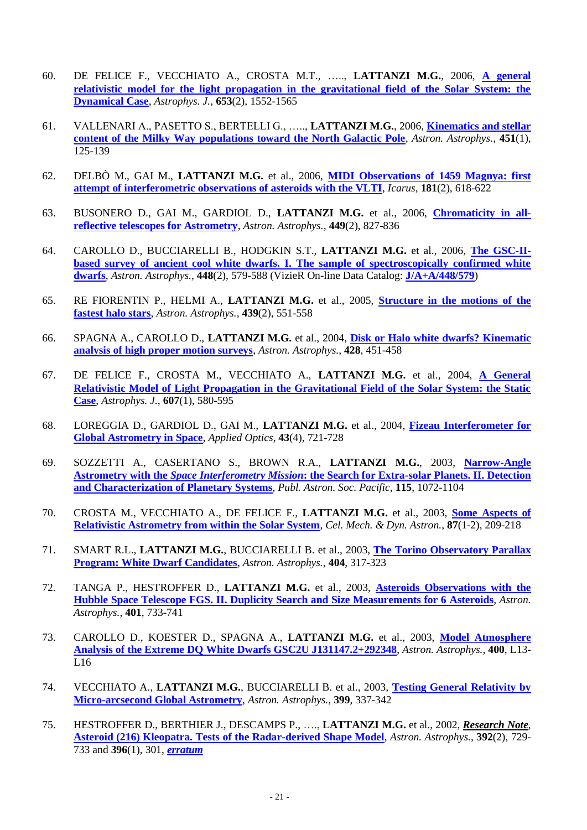- 60. DE FELICE F., VECCHIATO A., CROSTA M.T., ….., **LATTANZI M.G.**, 2006, **[A general](http://iopscience.iop.org/0004-637X/653/2/1552/)  [relativistic model for the light propagation in the gravitational field of the Solar System: the](http://iopscience.iop.org/0004-637X/653/2/1552/)  [Dynamical Case](http://iopscience.iop.org/0004-637X/653/2/1552/)**, *Astrophys. J.,* **653**(2), 1552-1565
- 61. VALLENARI A., PASETTO S., BERTELLI G., ….., **LATTANZI M.G.**, 2006, **[Kinematics and stellar](http://www.edpsciences.org/articles/aa/full/2006/19/aa4712-05/aa4712-05.html?access=ok)  [content of the Milky Way populations toward the North Galactic Pole](http://www.edpsciences.org/articles/aa/full/2006/19/aa4712-05/aa4712-05.html?access=ok)**, *Astron. Astrophys.,* **451**(1), 125-139
- 62. DELBÒ M., GAI M., **LATTANZI M.G.** et al., 2006, **[MIDI Observations of 1459 Magnya: first](http://www.sciencedirect.com/science/article/pii/S0019103506000273)  [attempt of interferometric observations of asteroids with the VLTI](http://www.sciencedirect.com/science/article/pii/S0019103506000273)**, *Icarus,* **181**(2), 618-622
- 63. BUSONERO D., GAI M., GARDIOL D., **LATTANZI M.G.** et al., 2006, **[Chromaticity](http://www.edpsciences.org/articles/aa/abs/2006/14/aa4180-05/aa4180-05.html) in all[reflective telescopes for Astrometry](http://www.edpsciences.org/articles/aa/abs/2006/14/aa4180-05/aa4180-05.html)**, *Astron. Astrophys.,* **449**(2), 827-836
- 64. CAROLLO D., BUCCIARELLI B., HODGKIN S.T., **LATTANZI M.G.** et al., 2006, **[The GSC-II](http://www.edpsciences.org/articles/aa/pdf/2006/11/aa4113-05.pdf)[based survey of ancient cool white dwarfs. I. The sample of spectroscopically confirmed white](http://www.edpsciences.org/articles/aa/pdf/2006/11/aa4113-05.pdf)  [dwarfs](http://www.edpsciences.org/articles/aa/pdf/2006/11/aa4113-05.pdf)**, *Astron. Astrophys.,* **448**(2), 579-588 (VizieR On-line Data Catalog: **[J/A+A/448/579](http://cdsweb.u-strasbg.fr/cgi-bin/qcat?J/A+A/448/579/)**)
- 65. RE FIORENTIN P., HELMI A., **LATTANZI M.G.** et al., 2005, **[Structure in the motions of the](http://www.edpsciences.org/papers/aa/full/2005/32/aa2911-05/aa2911-05.html?access=ok)  [fastest halo stars](http://www.edpsciences.org/papers/aa/full/2005/32/aa2911-05/aa2911-05.html?access=ok)**, *Astron. Astrophys.,* **439**(2), 551-558
- 66. SPAGNA A., CAROLLO D., **LATTANZI M.G.** et al., 2004, **[Disk or Halo white dwarfs? Kinematic](http://www.edpsciences.org/articles/aa/pdf/2004/47/aa1080.pdf?access=ok)  [analysis of high proper motion surveys](http://www.edpsciences.org/articles/aa/pdf/2004/47/aa1080.pdf?access=ok)**, *Astron. Astrophys.,* **428**, 451-458
- 67. DE FELICE F., CROSTA M., VECCHIATO A., **LATTANZI M.G.** et al., 2004, **[A General](http://iopscience.iop.org/0004-637X/607/1/580/)  [Relativistic Model of Light Propagation in the Gravitational Field of the Solar System: the Static](http://iopscience.iop.org/0004-637X/607/1/580/)  [Case](http://iopscience.iop.org/0004-637X/607/1/580/)**, *Astrophys. J.,* **607**(1), 580-595
- 68. LOREGGIA D., GARDIOL D., GAI M., **LATTANZI M.G.** et al., 2004, **[Fizeau Interferometer for](http://www.opticsinfobase.org/abstract.cfm?id=78548)  [Global Astrometry in Space](http://www.opticsinfobase.org/abstract.cfm?id=78548)**, *Applied Optics,* **43**(4), 721-728
- 69. SOZZETTI A., CASERTANO S., BROWN R.A., **LATTANZI M.G.**, 2003, **[Narrow-Angle](http://www.jstor.org/stable/10.1086/376872)  Astrometry with the** *Space Interferometry Mission***[: the Search for Extra-solar Planets. II. Detection](http://www.jstor.org/stable/10.1086/376872)  [and Characterization of Planetary Systems](http://www.jstor.org/stable/10.1086/376872)**, *Publ. Astron. Soc. Pacific*, **115**, 1072-1104
- 70. CROSTA M., VECCHIATO A., DE FELICE F., **LATTANZI M.G.** et al., 2003, **[Some Aspects of](http://www.kluweronline.com/oasis.htm/5127358)  [Relativistic Astrometry from within the Solar System](http://www.kluweronline.com/oasis.htm/5127358)**, *Cel. Mech. & Dyn. Astron.*, **87**(1-2), 209-218
- 71. SMART R.L., **LATTANZI M.G.**, BUCCIARELLI B. et al., 2003, **[The Torino Observatory Parallax](http://www.edpsciences.org/articles/aa/pdf/2003/22/aah4260.pdf)  [Program: White Dwarf Candidates](http://www.edpsciences.org/articles/aa/pdf/2003/22/aah4260.pdf)**, *Astron. Astrophys.*, **404**, 317-323
- 72. TANGA P., HESTROFFER D., **LATTANZI M.G.** et al., 2003, **[Asteroids Observations with the](http://www.aanda.org/component/article?access=bibcode&bibcode=&bibcode=2003A%2526A...401..733TFUL)  [Hubble Space Telescope FGS. II. Duplicity Search and Size Measurements for 6 Asteroids](http://www.aanda.org/component/article?access=bibcode&bibcode=&bibcode=2003A%2526A...401..733TFUL)**, *Astron. Astrophys.*, **401**, 733-741
- 73. CAROLLO D., KOESTER D., SPAGNA A., **LATTANZI M.G.** et al., 2003, **[Model Atmosphere](http://www.aanda.org/component/article?access=bibcode&bibcode=&bibcode=2003A%2526A...400L..13CFUL)  [Analysis of the Extreme DQ White Dwarfs GSC2U J131147.2+292348](http://www.aanda.org/component/article?access=bibcode&bibcode=&bibcode=2003A%2526A...400L..13CFUL)**, *Astron. Astrophys.*, **400**, L13- L16
- 74. VECCHIATO A., **LATTANZI M.G.**, BUCCIARELLI B. et al., 2003, **[Testing General Relativity by](http://www.aanda.org/component/article?access=bibcode&bibcode=&bibcode=2003A%2526A...399..337VFUL)  [Micro-arcsecond Global Astrometry](http://www.aanda.org/component/article?access=bibcode&bibcode=&bibcode=2003A%2526A...399..337VFUL)**, *Astron. Astrophys.*, **399**, 337-342
- 75. HESTROFFER D., BERTHIER J., DESCAMPS P., …., **LATTANZI M.G.** et al., 2002, *Research Note*, **[Asteroid \(216\) Kleopatra. Tests of the Radar-derived Shape Model](http://www.aanda.org/component/article?access=bibcode&bibcode=&bibcode=2002A%2526A...392..729HFUL)**, *Astron. Astrophys.*, **392**(2), 729- 733 and **396**(1), 301, *[erratum](http://www.aanda.org/component/article?access=bibcode&bibcode=&bibcode=2002A%2526A...396..301HFUL)*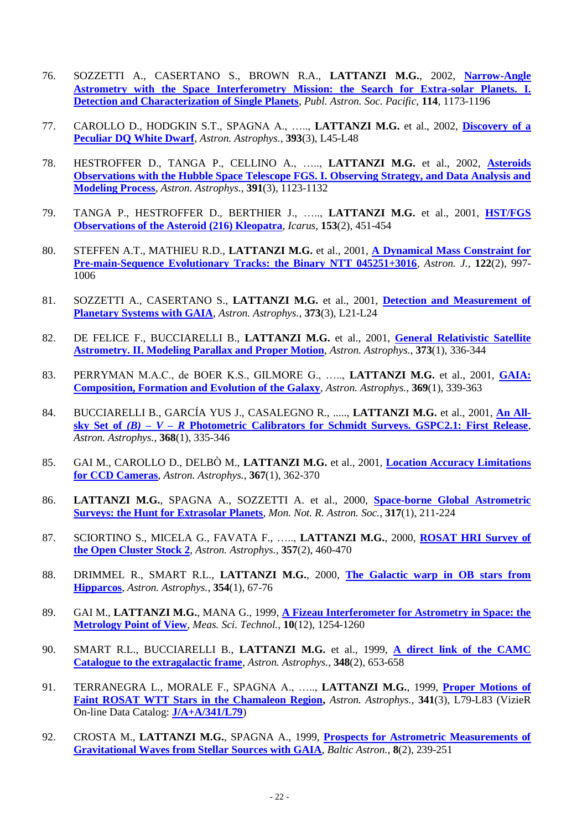- 76. SOZZETTI A., CASERTANO S., BROWN R.A., **LATTANZI M.G.**, 2002, **[Narrow-Angle](http://www.jstor.org/stable/10.1086/343823)  [Astrometry with the Space Interferometry Mission: the Search for Extra-solar Planets. I.](http://www.jstor.org/stable/10.1086/343823)  [Detection and Characterization of Single Planets](http://www.jstor.org/stable/10.1086/343823)**, *Publ. Astron. Soc. Pacific*, **114**, 1173-1196
- 77. CAROLLO D., HODGKIN S.T., SPAGNA A., ….., **LATTANZI M.G.** et al., 2002, **[Discovery of a](http://www.aanda.org/component/article?access=bibcode&bibcode=&bibcode=2002A%2526A...393L..45CFUL)  [Peculiar DQ White Dwarf](http://www.aanda.org/component/article?access=bibcode&bibcode=&bibcode=2002A%2526A...393L..45CFUL)**, *Astron. Astrophys.*, **393**(3), L45-L48
- 78. HESTROFFER D., TANGA P., CELLINO A., ….., **LATTANZI M.G.** et al., 2002, **[Asteroids](http://www.aanda.org/component/article?access=bibcode&bibcode=&bibcode=2002A%2526A...391.1123HFUL)  [Observations with the Hubble Space Telescope FGS. I. Observing Strategy, and Data Analysis and](http://www.aanda.org/component/article?access=bibcode&bibcode=&bibcode=2002A%2526A...391.1123HFUL)  [Modeling Process](http://www.aanda.org/component/article?access=bibcode&bibcode=&bibcode=2002A%2526A...391.1123HFUL)**, *Astron. Astrophys.*, **391**(3), 1123-1132
- 79. TANGA P., HESTROFFER D., BERTHIER J., ….., **LATTANZI M.G.** et al., 2001, **[HST/FGS](http://www.sciencedirect.com/science/article/pii/S0019103501966916)  [Observations of the Asteroid \(216\) Kleopatra](http://www.sciencedirect.com/science/article/pii/S0019103501966916)**, *Icarus*, **153**(2), 451-454
- 80. STEFFEN A.T., MATHIEU R.D., **LATTANZI M.G.** et al., 2001, **[A Dynamical Mass Constraint for](http://iopscience.iop.org/1538-3881/122/2/997/)  [Pre-main-Sequence Evolutionary Tracks: the Binary NTT 045251+3016](http://iopscience.iop.org/1538-3881/122/2/997/)**, *Astron. J.*, **122**(2), 997- 1006
- 81. SOZZETTI A., CASERTANO S., **LATTANZI M.G.** et al., 2001, **[Detection and Measurement of](http://www.aanda.org/articles/aa/pdf/2001/27/aada081.pdf)  [Planetary Systems with GAIA](http://www.aanda.org/articles/aa/pdf/2001/27/aada081.pdf)**, *Astron. Astrophys.*, **373**(3), L21-L24
- 82. DE FELICE F., BUCCIARELLI B., **LATTANZI M.G.** et al., 2001, **[General Relativistic Satellite](http://www.aanda.org/articles/aa/pdf/2001/25/aa9772.pdf)  [Astrometry. II. Modeling Parallax and Proper Motion](http://www.aanda.org/articles/aa/pdf/2001/25/aa9772.pdf)**, *Astron. Astrophys.*, **373**(1), 336-344
- 83. PERRYMAN M.A.C., de BOER K.S., GILMORE G., ….., **LATTANZI M.G.** et al., 2001, **[GAIA:](http://www.aanda.org/articles/aa/pdf/2001/13/aah2529.pdf)  [Composition, Formation and Evolution of the Galaxy](http://www.aanda.org/articles/aa/pdf/2001/13/aah2529.pdf)**, *Astron. Astrophys.*, **369**(1), 339-363
- 84. BUCCIARELLI B., GARCÍA YUS J., CASALEGNO R., ....., **LATTANZI M.G.** et al., 2001, **An [All](http://www.aanda.org/articles/aa/pdf/2001/10/aa10389.pdf)sky Set of** *(B) – V – R* **[Photometric Calibrators for Schmidt Surveys. GSPC2.1: First Release](http://www.aanda.org/articles/aa/pdf/2001/10/aa10389.pdf)**, *Astron. Astrophys.*, **368**(1), 335-346
- 85. GAI M., CAROLLO D., DELBÒ M., **LATTANZI M.G.** et al., 2001, **[Location Accuracy Limitations](http://www.aanda.org/articles/aa/pdf/2001/07/aa10309.pdf)  [for CCD Cameras](http://www.aanda.org/articles/aa/pdf/2001/07/aa10309.pdf)**, *Astron. Astrophys.*, **367**(1), 362-370
- 86. **LATTANZI M.G.**, SPAGNA A., SOZZETTI A. et al., 2000, **[Space-borne Global Astrometric](http://cdsads.u-strasbg.fr/cgi-bin/nph-iarticle_query?2000MNRAS.317..211L&data_type=PDF_HIGH&type=PRINTER&filetype=.pdf)  [Surveys: the Hunt for Extrasolar Planets](http://cdsads.u-strasbg.fr/cgi-bin/nph-iarticle_query?2000MNRAS.317..211L&data_type=PDF_HIGH&type=PRINTER&filetype=.pdf)**, *Mon. Not. R. Astron. Soc.*, **317**(1), 211-224
- 87. SCIORTINO S., MICELA G., FAVATA F., ….., **LATTANZI M.G.**, 2000, **[ROSAT HRI Survey of](http://aa.springer.de/papers/0357002/2300460.pdf)  [the Open Cluster Stock 2](http://aa.springer.de/papers/0357002/2300460.pdf)**, *Astron. Astrophys.*, **357**(2), 460-470
- 88. DRIMMEL R., SMART R.L., **LATTANZI M.G.**, 2000, **[The Galactic warp in OB stars from](http://aa.springer.de/papers/0354001/2300067.pdf)  [Hipparcos](http://aa.springer.de/papers/0354001/2300067.pdf)**, *Astron. Astrophys.*, **354**(1), 67-76
- 89. GAI M., **LATTANZI M.G.**, MANA G., 1999, **[A Fizeau Interferometer for Astrometry in Space: the](http://www.iop.org/EJ/abstract/0957-0233/10/12/318/)  [Metrology Point of View](http://www.iop.org/EJ/abstract/0957-0233/10/12/318/)**, *Meas. Sci. Technol.*, **10**(12), 1254-1260
- 90. SMART R.L., BUCCIARELLI B., **LATTANZI M.G.** et al., 1999, **[A direct link of the CAMC](http://cdsads.u-strasbg.fr/cgi-bin/nph-iarticle_query?1999A%26A...348..653S)  [Catalogue to the extragalactic frame](http://cdsads.u-strasbg.fr/cgi-bin/nph-iarticle_query?1999A%26A...348..653S)**, *Astron. Astrophys.*, **348**(2), 653-658
- 91. TERRANEGRA L., MORALE F., SPAGNA A., ….., **LATTANZI M.G.**, 1999, **[Proper Motions of](http://cdsads.u-strasbg.fr/cgi-bin/nph-iarticle_query?1999A%26A...341L..79T)  [Faint ROSAT WTT Stars in the Chamaleon Region,](http://cdsads.u-strasbg.fr/cgi-bin/nph-iarticle_query?1999A%26A...341L..79T)** *Astron. Astrophys.,* **341**(3), L79-L83 (VizieR On-line Data Catalog: **[J/A+A/341/L79](http://vizier.u-strasbg.fr/viz-bin/VizieR?-source=J/A+A/341/L79)**)
- 92. CROSTA M., **LATTANZI M.G.**, SPAGNA A., 1999, **[Prospects for Astrometric Measurements of](http://cdsads.u-strasbg.fr/cgi-bin/nph-iarticle_query?1999BaltA...8..239C)  [Gravitational Waves from Stellar Sources with GAIA](http://cdsads.u-strasbg.fr/cgi-bin/nph-iarticle_query?1999BaltA...8..239C)**, *Baltic Astron.*, **8**(2), 239-251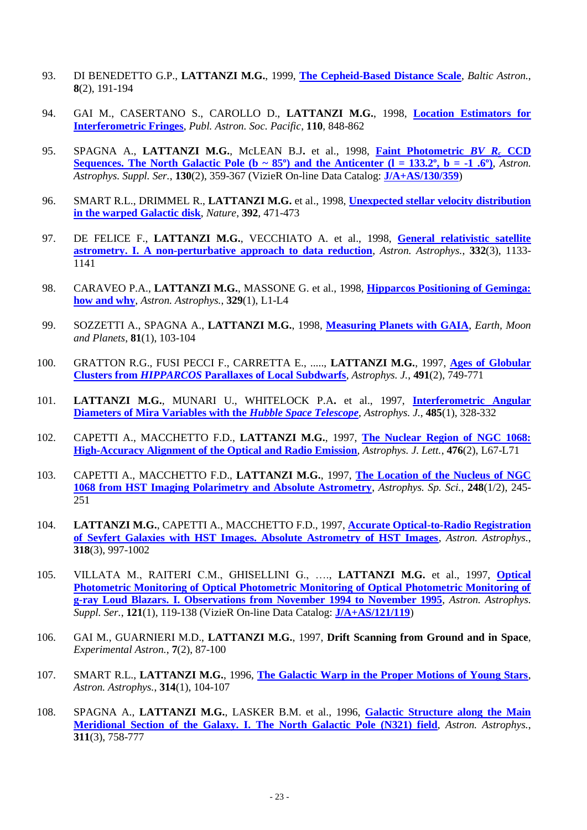- 93. DI BENEDETTO G.P., **LATTANZI M.G.**, 1999, **[The Cepheid-Based Distance Scale](http://cdsads.u-strasbg.fr/cgi-bin/nph-iarticle_query?1999BaltA...8..191D)**, *Baltic Astron.*, **8**(2), 191-194
- 94. GAI M., CASERTANO S., CAROLLO D., **LATTANZI M.G.**, 1998, **[Location Estimators for](http://www.jstor.org/stable/pdf/10.1086/316202.pdf?acceptTC=true)  [Interferometric Fringes](http://www.jstor.org/stable/pdf/10.1086/316202.pdf?acceptTC=true)**, *Publ. Astron. Soc. Pacific*, **110**, 848-862
- 95. SPAGNA A., **LATTANZI M.G.**, McLEAN B.J**.** et al., 1998, **[Faint Photometric](http://www.edpsciences.org/articles/aas/pdf/1998/11/ds1234.pdf?access=ok)** *BV R***<sup>c</sup> CCD Sequences. The North Galactic Pole (b**  $\sim 85^{\circ}$ **) and the Anticenter (l = 133.2°, b = -1.6°).** *Astron. Astrophys. Suppl. Ser.*, **130**(2), 359-367 (VizieR On-line Data Catalog: **[J/A+AS/130/359](http://cdsarc.u-strasbg.fr/viz-bin/qcat?J/a+as/130/359)**)
- 96. SMART R.L., DRIMMEL R., **LATTANZI M.G.** et al., 1998, **[Unexpected stellar velocity distribution](http://www.nature.com/nature/journal/v392/n6675/full/392471a0.html)  [in the warped Galactic disk](http://www.nature.com/nature/journal/v392/n6675/full/392471a0.html)**, *Nature*, **392**, 471-473
- 97. DE FELICE F., **LATTANZI M.G.**, VECCHIATO A. et al., 1998, **[General relativistic satellite](http://cdsads.u-strasbg.fr/cgi-bin/nph-iarticle_query?1998A%26A...332.1133D)  [astrometry. I. A non-perturbative approach to data reduction](http://cdsads.u-strasbg.fr/cgi-bin/nph-iarticle_query?1998A%26A...332.1133D)**, *Astron. Astrophys.*, **332**(3), 1133- 1141
- 98. CARAVEO P.A., **LATTANZI M.G.**, MASSONE G. et al., 1998, **[Hipparcos Positioning of Geminga:](http://cdsads.u-strasbg.fr/cgi-bin/nph-iarticle_query?1998A%26A...329L...1C)  [how and why](http://cdsads.u-strasbg.fr/cgi-bin/nph-iarticle_query?1998A%26A...329L...1C)**, *Astron. Astrophys.*, **329**(1), L1-L4
- 99. SOZZETTI A., SPAGNA A., **LATTANZI M.G.**, 1998, **[Measuring Planets with GAIA](http://www.springerlink.com/content/m875874p737721h6/)**, *Earth, Moon and Planets*, **81**(1), 103-104
- 100. GRATTON R.G., FUSI PECCI F., CARRETTA E., ....., **LATTANZI M.G.**, 1997, **[Ages of Globular](http://iopscience.iop.org/0004-637X/491/2/749/pdf/36253.pdf)  Clusters from** *HIPPARCOS* **[Parallaxes of Local Subdwarfs](http://iopscience.iop.org/0004-637X/491/2/749/pdf/36253.pdf)**, *Astrophys. J.*, **491**(2), 749-771
- 101. **LATTANZI M.G.**, MUNARI U., WHITELOCK P.A**.** et al., 1997, **[Interferometric Angular](http://iopscience.iop.org/0004-637X/485/1/328/pdf/36036.pdf)  [Diameters of Mira Variables with the](http://iopscience.iop.org/0004-637X/485/1/328/pdf/36036.pdf)** *Hubble Space Telescope*, *Astrophys. J.*, **485**(1), 328-332
- 102. CAPETTI A., MACCHETTO F.D., **LATTANZI M.G.**, 1997, **[The Nuclear Region of NGC 1068:](http://iopscience.iop.org/1538-4357/476/2/L67/pdf/5408.pdf)  [High-Accuracy Alignment of the Optical and Radio Emission](http://iopscience.iop.org/1538-4357/476/2/L67/pdf/5408.pdf)**, *Astrophys. J. Lett.*, **476**(2), L67-L71
- 103. CAPETTI A., MACCHETTO F.D., **LATTANZI M.G.**, 1997, **[The Location of the Nucleus of NGC](http://link.springer.com/article/10.1023%2FA%3A1000550216774)  [1068 from HST Imaging Polarimetry and Absolute Astrometry](http://link.springer.com/article/10.1023%2FA%3A1000550216774)**, *Astrophys. Sp. Sci.*, **248**(1/2), 245- 251
- 104. **LATTANZI M.G.**, CAPETTI A., MACCHETTO F.D., 1997, **[Accurate Optical-to-Radio Registration](http://cdsads.u-strasbg.fr/cgi-bin/nph-iarticle_query?1997A%26A...318..997L&data_type=PDF_HIGH&whole_paper=YES&type=PRINTER&filetype=.pdf)  [of Seyfert Galaxies with HST Images. Absolute Astrometry of HST Images](http://cdsads.u-strasbg.fr/cgi-bin/nph-iarticle_query?1997A%26A...318..997L&data_type=PDF_HIGH&whole_paper=YES&type=PRINTER&filetype=.pdf)**, *Astron. Astrophys.*, **318**(3), 997-1002
- 105. VILLATA M., RAITERI C.M., GHISELLINI G., …., **LATTANZI M.G.** et al., 1997, **[Optical](http://www.edpsciences.org/articles/aas/pdf/1997/01/ds1197a.pdf)  [Photometric Monitoring of Optical Photometric Monitoring of Optical Photometric Monitoring of](http://www.edpsciences.org/articles/aas/pdf/1997/01/ds1197a.pdf)  [g-ray Loud Blazars. I. Observations from November 1994 to November 1995](http://www.edpsciences.org/articles/aas/pdf/1997/01/ds1197a.pdf)**, *Astron. Astrophys. Suppl. Ser.*, **121**(1), 119-138 (VizieR On-line Data Catalog: **[J/A+AS/121/119](http://vizier.u-strasbg.fr/viz-bin/VizieR?-source=J/A+AS/121/119)**)
- 106. GAI M., GUARNIERI M.D., **LATTANZI M.G.**, 1997, **Drift Scanning from Ground and in Space**, *Experimental Astron.*, **7**(2), 87-100
- 107. SMART R.L., **LATTANZI M.G.**, 1996, **[The Galactic Warp in the Proper Motions of Young Stars](http://cdsads.u-strasbg.fr/cgi-bin/nph-iarticle_query?1996A%26A...314..104S)**, *Astron. Astrophys.*, **314**(1), 104-107
- 108. SPAGNA A., **LATTANZI M.G.**, LASKER B.M. et al., 1996, **[Galactic Structure along the Main](http://cdsads.u-strasbg.fr/cgi-bin/nph-iarticle_query?1996A%26A...311..758S)  [Meridional Section of the Galaxy. I. The North Galactic Pole \(N321\) field](http://cdsads.u-strasbg.fr/cgi-bin/nph-iarticle_query?1996A%26A...311..758S)**, *Astron. Astrophys.*, **311**(3), 758-777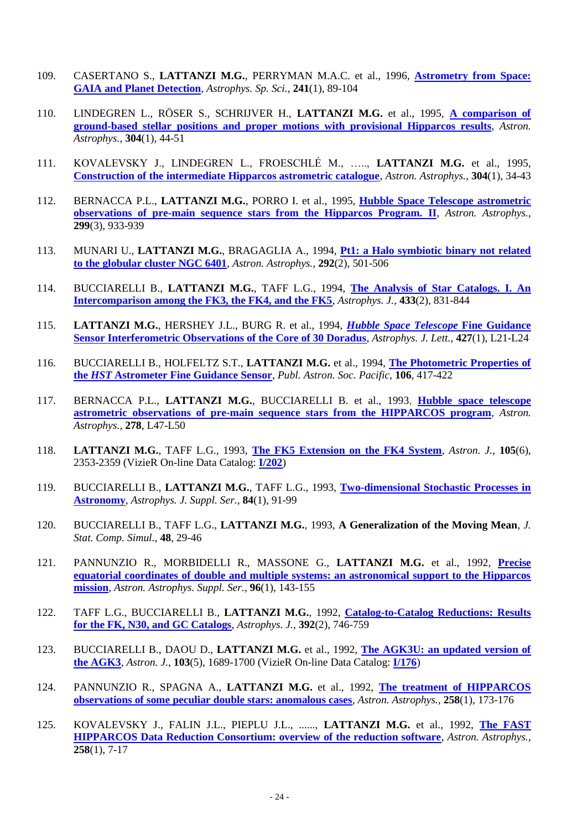- 109. CASERTANO S., **LATTANZI M.G.**, PERRYMAN M.A.C. et al., 1996, **[Astrometry from Space:](http://cdsads.u-strasbg.fr/full/1996Ap&SS.241...89C)  [GAIA and Planet Detection](http://cdsads.u-strasbg.fr/full/1996Ap&SS.241...89C)**, *Astrophys. Sp. Sci.*, **241**(1), 89-104
- 110. LINDEGREN L., RÖSER S., SCHRIJVER H., **LATTANZI M.G.** et al., 1995, **[A comparison of](http://adsbit.harvard.edu/cgi-bin/nph-iarticle_query?1995A%26A...304...44L)  [ground-based stellar positions and proper motions with provisional Hipparcos results](http://adsbit.harvard.edu/cgi-bin/nph-iarticle_query?1995A%26A...304...44L)**, *Astron. Astrophys.,* **304**(1), 44-51
- 111. KOVALEVSKY J., LINDEGREN L., FROESCHLÉ M., ….., **LATTANZI M.G.** et al., 1995, **[Construction of the intermediate Hipparcos astrometric catalogue](http://cdsads.u-strasbg.fr/cgi-bin/nph-iarticle_query?1995A%26A...304...34K&data_type=PDF_HIGH&whole_paper=YES&type=PRINTER&filetype=.pdf)**, *Astron. Astrophys.,* **304**(1), 34-43
- 112. BERNACCA P.L., **LATTANZI M.G.**, PORRO I. et al., 1995, **[Hubble Space Telescope astrometric](http://adsbit.harvard.edu/cgi-bin/nph-iarticle_query?1995A%26A...299..933B)  [observations of pre-main sequence stars from the Hipparcos Program. II](http://adsbit.harvard.edu/cgi-bin/nph-iarticle_query?1995A%26A...299..933B)**, *Astron. Astrophys.,*  **299**(3), 933-939
- 113. MUNARI U., **LATTANZI M.G.**, BRAGAGLIA A., 1994, **[Pt1: a Halo symbiotic binary not related](http://adsbit.harvard.edu/cgi-bin/nph-iarticle_query?1994A%26A...292..501M)  [to the globular cluster NGC 6401](http://adsbit.harvard.edu/cgi-bin/nph-iarticle_query?1994A%26A...292..501M)**, *Astron. Astrophys.,* **292**(2), 501-506
- 114. BUCCIARELLI B., **LATTANZI M.G.**, TAFF L.G., 1994, **[The Analysis of Star Catalogs. I. An](http://adsbit.harvard.edu/cgi-bin/nph-iarticle_query?1994ApJ...433..831B)  [Intercomparison among the FK3, the FK4, and the FK5](http://adsbit.harvard.edu/cgi-bin/nph-iarticle_query?1994ApJ...433..831B)**, *Astrophys. J.,* **433**(2), 831-844
- 115. **LATTANZI M.G.**, HERSHEY J.L., BURG R. et al., 1994, *[Hubble Space Telescope](http://adsbit.harvard.edu/cgi-bin/nph-iarticle_query?1994ApJ...427L..21L)* **Fine Guidance [Sensor Interferometric Observations of the Core of 30 Doradus](http://adsbit.harvard.edu/cgi-bin/nph-iarticle_query?1994ApJ...427L..21L)**, *Astrophys. J. Lett.,* **427**(1), L21-L24
- 116. BUCCIARELLI B., HOLFELTZ S.T., **LATTANZI M.G.** et al., 1994, **[The Photometric Properties of](http://adsbit.harvard.edu/cgi-bin/nph-iarticle_query?1994PASP..106..417B)  the** *HST* **[Astrometer Fine Guidance Sensor](http://adsbit.harvard.edu/cgi-bin/nph-iarticle_query?1994PASP..106..417B)**, *Publ. Astron. Soc. Pacific,* **106**, 417-422
- 117. BERNACCA P.L., **LATTANZI M.G.**, BUCCIARELLI B. et al., 1993, **[Hubble space telescope](http://cdsads.u-strasbg.fr/cgi-bin/nph-iarticle_query?1993A%26A...278L..47B&data_type=PDF_HIGH&whole_paper=YES&type=PRINTER&filetype=.pdf)  [astrometric observations of pre-main sequence stars from the HIPPARCOS program](http://cdsads.u-strasbg.fr/cgi-bin/nph-iarticle_query?1993A%26A...278L..47B&data_type=PDF_HIGH&whole_paper=YES&type=PRINTER&filetype=.pdf)**, *Astron. Astrophys.,* **278**, L47-L50
- 118. **LATTANZI M.G.**, TAFF L.G., 1993, **[The FK5 Extension on the FK4 System](http://adsbit.harvard.edu/cgi-bin/nph-iarticle_query?1993AJ....105.2353L)**, *Astron. J.,* **105**(6), 2353-2359 (VizieR On-line Data Catalog: **[I/202](http://vizier.u-strasbg.fr/viz-bin/VizieR?-source=I/202)**)
- 119. BUCCIARELLI B., **LATTANZI M.G.**, TAFF L.G., 1993, **[Two-dimensional Stochastic Processes in](http://adsbit.harvard.edu/cgi-bin/nph-iarticle_query?1993ApJS...84...91B)  [Astronomy](http://adsbit.harvard.edu/cgi-bin/nph-iarticle_query?1993ApJS...84...91B)**, *Astrophys. J. Suppl. Ser.,* **84**(1), 91-99
- 120. BUCCIARELLI B., TAFF L.G., **LATTANZI M.G.**, 1993, **A Generalization of the Moving Mean**, *J. Stat. Comp. Simul.*, **48**, 29-46
- 121. PANNUNZIO R., MORBIDELLI R., MASSONE G., **LATTANZI M.G.** et al., 1992, **[Precise](http://adsbit.harvard.edu/cgi-bin/nph-iarticle_query?1992A%26AS...96..143P)  [equatorial coordinates of double and multiple systems: an astronomical support to the Hipparcos](http://adsbit.harvard.edu/cgi-bin/nph-iarticle_query?1992A%26AS...96..143P)  [mission](http://adsbit.harvard.edu/cgi-bin/nph-iarticle_query?1992A%26AS...96..143P)**, *Astron. Astrophys. Suppl. Ser.,* **96**(1), 143-155
- 122. TAFF L.G., BUCCIARELLI B., **LATTANZI M.G.**, 1992, **[Catalog-to-Catalog Reductions: Results](http://adsbit.harvard.edu/cgi-bin/nph-iarticle_query?1992ApJ...392..746T)  [for the FK, N30, and GC Catalogs](http://adsbit.harvard.edu/cgi-bin/nph-iarticle_query?1992ApJ...392..746T)**, *Astrophys. J.,* **392**(2), 746-759
- 123. BUCCIARELLI B., DAOU D., **LATTANZI M.G.** et al., 1992, **[The AGK3U: an updated version of](http://adsbit.harvard.edu/cgi-bin/nph-iarticle_query?1992AJ....103.1689B)  [the AGK3](http://adsbit.harvard.edu/cgi-bin/nph-iarticle_query?1992AJ....103.1689B)**, *Astron. J.,* **103**(5), 1689-1700 (VizieR On-line Data Catalog: **[I/176](http://vizier.u-strasbg.fr/viz-bin/VizieR?-source=I/176)**)
- 124. PANNUNZIO R., SPAGNA A., **LATTANZI M.G.** et al., 1992, **[The treatment of HIPPARCOS](http://adsbit.harvard.edu/cgi-bin/nph-iarticle_query?1992A%26A...258..173P)  [observations of some peculiar double stars: anomalous cases](http://adsbit.harvard.edu/cgi-bin/nph-iarticle_query?1992A%26A...258..173P)**, *Astron. Astrophys.,* **258**(1), 173-176
- 125. KOVALEVSKY J., FALIN J.L., PIEPLU J.L., ......, **LATTANZI M.G.** et al., 1992, **[The FAST](http://adsbit.harvard.edu/cgi-bin/nph-iarticle_query?1992A%26A...258....7K)  [HIPPARCOS Data Reduction Consortium: overview of the reduction software](http://adsbit.harvard.edu/cgi-bin/nph-iarticle_query?1992A%26A...258....7K)**, *Astron. Astrophys.,*  **258**(1), 7-17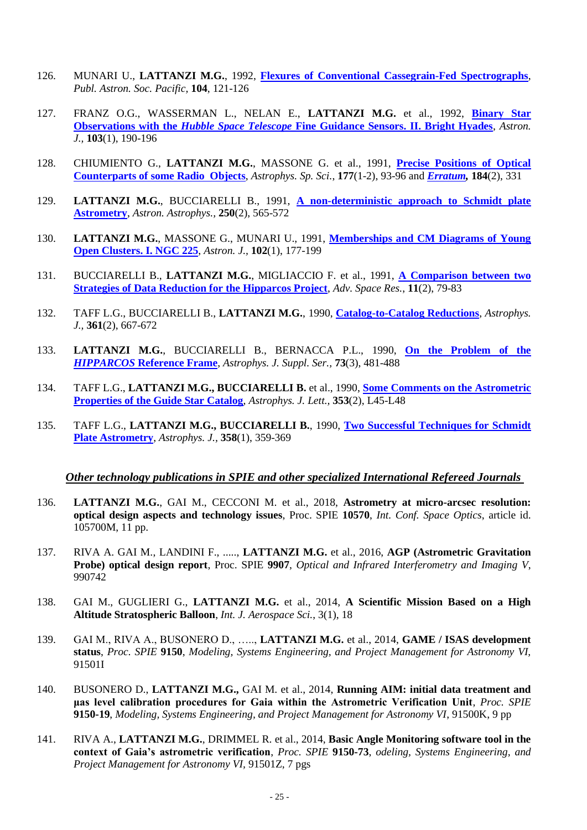- 126. MUNARI U., **LATTANZI M.G.**, 1992, **[Flexures of Conventional Cassegrain-Fed Spectrographs](http://adsbit.harvard.edu/cgi-bin/nph-iarticle_query?1992PASP..104..121M)**, *Publ. Astron. Soc. Pacific,* **104**, 121-126
- 127. FRANZ O.G., WASSERMAN L., NELAN E., **LATTANZI M.G.** et al., 1992, **[Binary Star](http://adsbit.harvard.edu/cgi-bin/nph-iarticle_query?1992AJ....103..190F)  Observations with the** *Hubble Space Telescope* **[Fine Guidance Sensors. II. Bright Hyades](http://adsbit.harvard.edu/cgi-bin/nph-iarticle_query?1992AJ....103..190F)**, *Astron. J.,* **103**(1), 190-196
- 128. CHIUMIENTO G., **LATTANZI M.G.**, MASSONE G. et al., 1991, **[Precise Positions of Optical](http://cdsads.u-strasbg.fr/cgi-bin/nph-iarticle_query?1991Ap%26SS.177...93C)  [Counterparts of some Radio Objects](http://cdsads.u-strasbg.fr/cgi-bin/nph-iarticle_query?1991Ap%26SS.177...93C)**, *Astrophys. Sp. Sci.*, **177**(1-2), 93-96 and *[Erratum,](http://cdsads.u-strasbg.fr/cgi-bin/nph-iarticle_query?1991Ap%26SS.184..331C)* **184**(2), 331
- 129. **LATTANZI M.G.**, BUCCIARELLI B., 1991, **[A non-deterministic approach to Schmidt plate](http://adsbit.harvard.edu/cgi-bin/nph-iarticle_query?1991A%26A...250..565L)  [Astrometry](http://adsbit.harvard.edu/cgi-bin/nph-iarticle_query?1991A%26A...250..565L)**, *Astron. Astrophys.,* **250**(2), 565-572
- 130. **LATTANZI M.G.**, MASSONE G., MUNARI U., 1991, **[Memberships and CM Diagrams of Young](http://adsbit.harvard.edu/cgi-bin/nph-iarticle_query?1991AJ....102..177L)  [Open Clusters. I. NGC 225](http://adsbit.harvard.edu/cgi-bin/nph-iarticle_query?1991AJ....102..177L)**, *Astron. J.,* **102**(1), 177-199
- 131. BUCCIARELLI B., **LATTANZI M.G.**, MIGLIACCIO F. et al., 1991, **[A Comparison between two](http://www.sciencedirect.com/science/article/pii/027311779190474X)  [Strategies of Data Reduction for the Hipparcos Project](http://www.sciencedirect.com/science/article/pii/027311779190474X)**, *Adv. Space Res.*, **11**(2), 79-83
- 132. TAFF L.G., BUCCIARELLI B., **LATTANZI M.G.**, 1990, **[Catalog-to-Catalog Reductions](http://adsbit.harvard.edu/cgi-bin/nph-iarticle_query?1990ApJ...361..667T)**, *Astrophys. J.,* **361**(2), 667-672
- 133. **LATTANZI M.G.**, BUCCIARELLI B., BERNACCA P.L., 1990, **[On the Problem of the](http://cdsads.u-strasbg.fr/cgi-bin/nph-iarticle_query?1990ApJS...73..481L)**  *HIPPARCOS* **[Reference Frame](http://cdsads.u-strasbg.fr/cgi-bin/nph-iarticle_query?1990ApJS...73..481L)**, *Astrophys. J. Suppl. Ser.,* **73**(3), 481-488
- 134. TAFF L.G., LATTANZI M.G., BUCCIARELLI B. et al., 1990, **Some Comments on the Astrometric [Properties of the Guide Star Catalog](http://cdsads.u-strasbg.fr/cgi-bin/nph-iarticle_query?1990ApJ...353L..45T)**, *Astrophys. J. Lett.,* **353**(2), L45-L48
- 135. TAFF L.G., **LATTANZI M.G., BUCCIARELLI B.**, 1990, **[Two Successful Techniques for Schmidt](http://cdsads.u-strasbg.fr/cgi-bin/nph-iarticle_query?1990ApJ...358..359T)  [Plate Astrometry](http://cdsads.u-strasbg.fr/cgi-bin/nph-iarticle_query?1990ApJ...358..359T)**, *Astrophys. J.,* **358**(1), 359-369

## *Other technology publications in SPIE and other specialized International Refereed Journals*

- 136. **LATTANZI M.G.**, GAI M., CECCONI M. et al., 2018, **Astrometry at micro-arcsec resolution: optical design aspects and technology issues**, Proc. SPIE **10570**, *Int. Conf. Space Optics*, article id. 105700M, 11 pp.
- 137. RIVA A. GAI M., LANDINI F., ....., **LATTANZI M.G.** et al., 2016, **AGP (Astrometric Gravitation Probe) optical design report**, Proc. SPIE **9907**, *Optical and Infrared Interferometry and Imaging V*, 990742
- 138. GAI M., GUGLIERI G., **LATTANZI M.G.** et al., 2014, **A Scientific Mission Based on a High Altitude Stratospheric Balloon**, *Int. J. Aerospace Sci.*, 3(1), 18
- 139. GAI M., RIVA A., BUSONERO D., ….., **LATTANZI M.G.** et al., 2014, **GAME / ISAS development status**, *Proc. SPIE* **9150**, *Modeling, Systems Engineering, and Project Management for Astronomy VI,* 91501I
- 140. BUSONERO D., **LATTANZI M.G.,** GAI M. et al., 2014, **Running AIM: initial data treatment and μas level calibration procedures for Gaia within the Astrometric Verification Unit**, *Proc. SPIE* **9150-19**, *Modeling, Systems Engineering, and Project Management for Astronomy VI*, 91500K, 9 pp
- 141. RIVA A., **LATTANZI M.G.**, DRIMMEL R. et al., 2014, **Basic Angle Monitoring software tool in the context of Gaia's astrometric verification**, *Proc. SPIE* **9150-73**, *odeling, Systems Engineering, and Project Management for Astronomy VI,* 91501Z, 7 pgs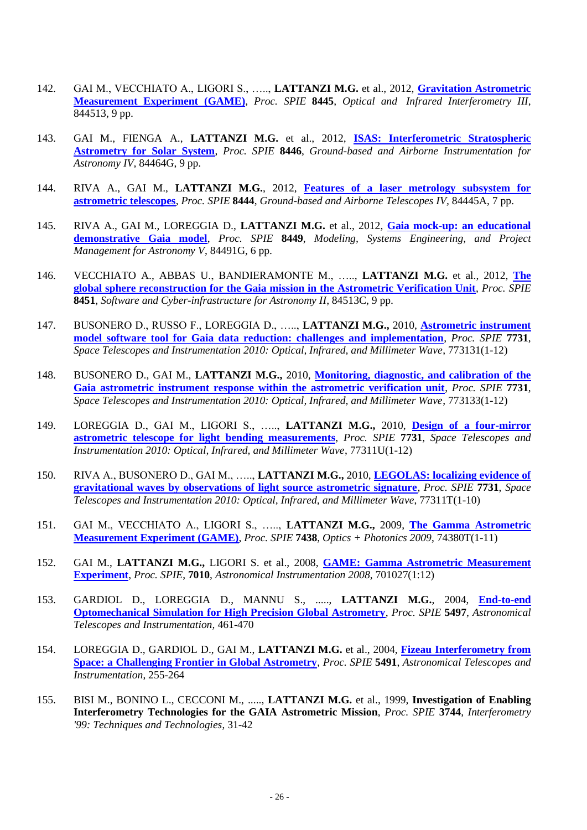- 142. GAI M., VECCHIATO A., LIGORI S., ….., **LATTANZI M.G.** et al., 2012, **[Gravitation Astrometric](http://proceedings.spiedigitallibrary.org/proceeding.aspx?articleid=1357073)  [Measurement Experiment \(GAME\)](http://proceedings.spiedigitallibrary.org/proceeding.aspx?articleid=1357073)**, *Proc. SPIE* **8445**, *Optical and Infrared Interferometry III*, 844513, 9 pp.
- 143. GAI M., FIENGA A., **LATTANZI M.G.** et al., 2012, **[ISAS: Interferometric Stratospheric](http://proceedings.spiedigitallibrary.org/proceeding.aspx?articleid=1362497)  [Astrometry for Solar System](http://proceedings.spiedigitallibrary.org/proceeding.aspx?articleid=1362497)**, *Proc. SPIE* **8446**, *Ground-based and Airborne Instrumentation for Astronomy IV,* 84464G, 9 pp.
- 144. RIVA A., GAI M., **LATTANZI M.G.**, 2012, **[Features of a laser metrology subsystem for](http://proceedings.spiedigitallibrary.org/proceeding.aspx?articleid=1361320)  [astrometric telescopes](http://proceedings.spiedigitallibrary.org/proceeding.aspx?articleid=1361320)**, *Proc. SPIE* **8444**, *Ground-based and Airborne Telescopes IV,* 84445A, 7 pp.
- 145. RIVA A., GAI M., LOREGGIA D., **LATTANZI M.G.** et al., 2012, **[Gaia mock-up: an educational](http://proceedings.spiedigitallibrary.org/proceeding.aspx?articleid=1363202)  [demonstrative Gaia model](http://proceedings.spiedigitallibrary.org/proceeding.aspx?articleid=1363202)**, *Proc. SPIE* **8449**, *Modeling, Systems Engineering, and Project Management for Astronomy V*, 84491G, 6 pp.
- 146. VECCHIATO A., ABBAS U., BANDIERAMONTE M., ….., **LATTANZI M.G.** et al., 2012, **[The](http://proceedings.spiedigitallibrary.org/proceeding.aspx?articleid=1363154)  [global sphere reconstruction for the Gaia mission in the Astrometric Verification Unit](http://proceedings.spiedigitallibrary.org/proceeding.aspx?articleid=1363154)**, *Proc. SPIE* **8451**, *Software and Cyber-infrastructure for Astronomy II*, 84513C, 9 pp.
- 147. BUSONERO D., RUSSO F., LOREGGIA D., ….., **LATTANZI M.G.,** 2010, **[Astrometric instrument](http://spiedl.aip.org/getabs/servlet/GetabsServlet?prog=normal&id=PSISDG007731000001773131000001&idtype=cvips&gifs=yes)  [model software tool for Gaia data reduction: challenges and implementation](http://spiedl.aip.org/getabs/servlet/GetabsServlet?prog=normal&id=PSISDG007731000001773131000001&idtype=cvips&gifs=yes)**, *Proc. SPIE* **7731**, *Space Telescopes and Instrumentation 2010: Optical, Infrared, and Millimeter Wave*, 773131(1-12)
- 148. BUSONERO D., GAI M., **LATTANZI M.G.,** 2010, **[Monitoring, diagnostic, and calibration of the](http://spiedl.aip.org/getabs/servlet/GetabsServlet?prog=normal&id=PSISDG007731000001773133000001&idtype=cvips&gifs=yes)  [Gaia astrometric instrument response within the astrometric verification unit](http://spiedl.aip.org/getabs/servlet/GetabsServlet?prog=normal&id=PSISDG007731000001773133000001&idtype=cvips&gifs=yes)**, *Proc. SPIE* **7731**, *Space Telescopes and Instrumentation 2010: Optical, Infrared, and Millimeter Wave*, 773133(1-12)
- 149. LOREGGIA D., GAI M., LIGORI S., ….., **LATTANZI M.G.,** 2010, **[Design of a four-mirror](http://spiedl.aip.org/getabs/servlet/GetabsServlet?prog=normal&id=PSISDG00773100000177311U000001&idtype=cvips&gifs=yes)  [astrometric telescope for light bending measurements](http://spiedl.aip.org/getabs/servlet/GetabsServlet?prog=normal&id=PSISDG00773100000177311U000001&idtype=cvips&gifs=yes)**, *Proc. SPIE* **7731**, *Space Telescopes and Instrumentation 2010: Optical, Infrared, and Millimeter Wave*, 77311U(1-12)
- 150. RIVA A., BUSONERO D., GAI M., ….., **LATTANZI M.G.,** 2010, **[LEGOLAS: localizing evidence of](http://spiedl.aip.org/getabs/servlet/GetabsServlet?prog=normal&id=PSISDG00773100000177311T000001&idtype=cvips&gifs=yes)  [gravitational waves by observations of light source astrometric signature](http://spiedl.aip.org/getabs/servlet/GetabsServlet?prog=normal&id=PSISDG00773100000177311T000001&idtype=cvips&gifs=yes)**, *Proc. SPIE* **7731**, *Space Telescopes and Instrumentation 2010: Optical, Infrared, and Millimeter Wave*, 77311T(1-10)
- 151. GAI M., VECCHIATO A., LIGORI S., ….., **LATTANZI M.G.,** 2009, **[The Gamma Astrometric](http://spiedl.aip.org/getabs/servlet/GetabsServlet?prog=normal&id=PSISDG00743800000174380T000001&idtype=cvips&gifs=yes)  [Measurement Experiment \(GAME\)](http://spiedl.aip.org/getabs/servlet/GetabsServlet?prog=normal&id=PSISDG00743800000174380T000001&idtype=cvips&gifs=yes)**, *Proc. SPIE* **7438**, *Optics + Photonics 2009*, 74380T(1-11)
- 152. GAI M., **LATTANZI M.G.,** LIGORI S. et al., 2008, **[GAME: Gamma Astrometric Measurement](http://spiedigitallibrary.aip.org/getabs/servlet/GetabsServlet?prog=normal&id=PSISDG007010000001701027000001&idtype=cvips&gifs=Yes)  [Experiment](http://spiedigitallibrary.aip.org/getabs/servlet/GetabsServlet?prog=normal&id=PSISDG007010000001701027000001&idtype=cvips&gifs=Yes)**, *Proc. SPIE*, **7010**, *Astronomical Instrumentation 2008*, 701027(1:12)
- 153. GARDIOL D., LOREGGIA D., MANNU S., ....., **LATTANZI M.G.**, 2004, **[End-to-end](http://bookstore.spie.org/index.cfm?fuseaction=DetailPaper&ProductId=550356&coden=)  [Optomechanical Simulation for High Precision Global Astrometry](http://bookstore.spie.org/index.cfm?fuseaction=DetailPaper&ProductId=550356&coden=)**, *Proc. SPIE* **5497**, *Astronomical Telescopes and Instrumentation,* 461-470
- 154. LOREGGIA D., GARDIOL D., GAI M., **LATTANZI M.G.** et al., 2004, **[Fizeau Interferometry from](http://bookstore.spie.org/index.cfm?fuseaction=DetailPaper&ProductId=551386&coden=)  [Space: a Challenging Frontier in Global Astrometry](http://bookstore.spie.org/index.cfm?fuseaction=DetailPaper&ProductId=551386&coden=)**, *Proc. SPIE* **5491**, *Astronomical Telescopes and Instrumentation*, 255-264
- 155. BISI M., BONINO L., CECCONI M., ....., **LATTANZI M.G.** et al., 1999, **Investigation of Enabling Interferometry Technologies for the GAIA Astrometric Mission**, *Proc. SPIE* **3744**, *Interferometry '99: Techniques and Technologies*, 31-42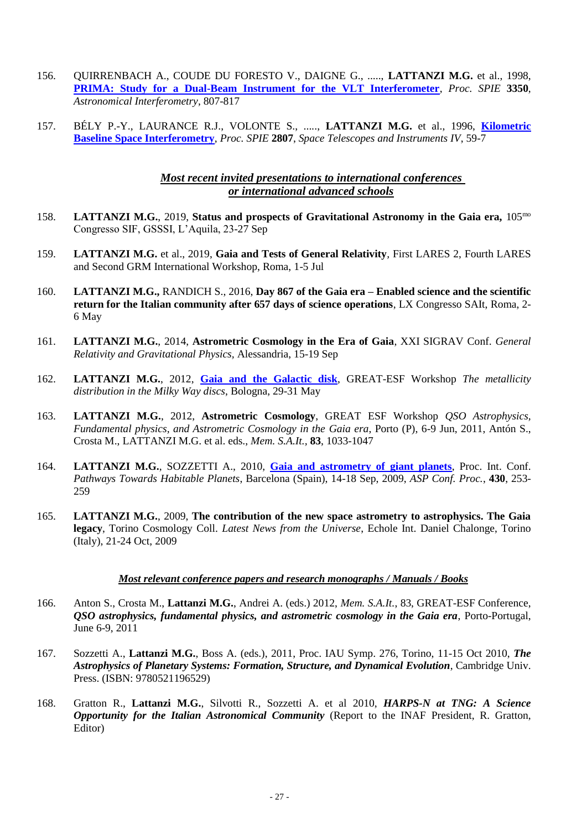- 156. QUIRRENBACH A., COUDE DU FORESTO V., DAIGNE G., ....., **LATTANZI M.G.** et al., 1998, **[PRIMA: Study for a Dual-Beam Instrument for the VLT Interferometer](http://cdsads.u-strasbg.fr/abs/1998SPIE.3350..807Q)**, *Proc. SPIE* **3350**, *Astronomical Interferometry*, 807-817
- 157. BÉLY P.-Y., LAURANCE R.J., VOLONTE S., ....., **LATTANZI M.G.** et al., 1996, **[Kilometric](http://cdsads.u-strasbg.fr/abs/1996SPIE.2807...59B)  [Baseline Space Interferometry](http://cdsads.u-strasbg.fr/abs/1996SPIE.2807...59B)**, *Proc. SPIE* **2807**, *Space Telescopes and Instruments IV*, 59-7

# *Most recent invited presentations to international conferences or international advanced schools*

- 158. **LATTANZI M.G.**, 2019, **Status and prospects of Gravitational Astronomy in the Gaia era,** 105mo Congresso SIF, GSSSI, L'Aquila, 23-27 Sep
- 159. **LATTANZI M.G.** et al., 2019, **Gaia and Tests of General Relativity***,* First LARES 2, Fourth LARES and Second GRM International Workshop, Roma, 1-5 Jul
- 160. **LATTANZI M.G.,** RANDICH S., 2016, **Day 867 of the Gaia era – Enabled science and the scientific return for the Italian community after 657 days of science operations**, LX Congresso SAIt, Roma, 2- 6 May
- 161. **LATTANZI M.G.**, 2014, **Astrometric Cosmology in the Era of Gaia**, XXI SIGRAV Conf. *General Relativity and Gravitational Physics,* Alessandria, 15-19 Sep
- 162. **LATTANZI M.G.**, 2012, **[Gaia and the Galactic disk](http://www.bo.astro.it/great-esf-gradient/lattanzi.pdf)**, GREAT-ESF Workshop *The metallicity distribution in the Milky Way discs*, Bologna, 29-31 May
- 163. **LATTANZI M.G.**, 2012, **Astrometric Cosmology**, GREAT ESF Workshop *QSO Astrophysics, Fundamental physics, and Astrometric Cosmology in the Gaia era*, Porto (P), 6-9 Jun, 2011, Antón S., Crosta M., LATTANZI M.G. et al. eds., *Mem. S.A.It.,* **83**, 1033-1047
- 164. **LATTANZI M.G.**, SOZZETTI A., 2010, **[Gaia and astrometry of giant](http://www.aspbooks.org/a/volumes/article_details/?paper_id=31609) planets**, Proc. Int. Conf. *Pathways Towards Habitable Planets*, Barcelona (Spain), 14-18 Sep, 2009, *ASP Conf. Proc.*, **430**, 253- 259
- 165. **LATTANZI M.G.**, 2009, **The contribution of the new space astrometry to astrophysics. The Gaia legacy**, Torino Cosmology Coll. *Latest News from the Universe*, Echole Int. Daniel Chalonge, Torino (Italy), 21-24 Oct, 2009

# *Most relevant conference papers and research monographs / Manuals / Books*

- 166. Anton S., Crosta M., **Lattanzi M.G.**, Andrei A. (eds.) 2012, *Mem. S.A.It.*, 83, GREAT-ESF Conference, *QSO astrophysics, fundamental physics, and astrometric cosmology in the Gaia era*, Porto-Portugal, June 6-9, 2011
- 167. Sozzetti A., **Lattanzi M.G.**, Boss A. (eds.), 2011, Proc. IAU Symp. 276, Torino, 11-15 Oct 2010, *The Astrophysics of Planetary Systems: Formation, Structure, and Dynamical Evolution*, Cambridge Univ. Press. (ISBN: 9780521196529)
- 168. Gratton R., **Lattanzi M.G.**, Silvotti R., Sozzetti A. et al 2010, *HARPS-N at TNG: A Science Opportunity for the Italian Astronomical Community* (Report to the INAF President, R. Gratton, Editor)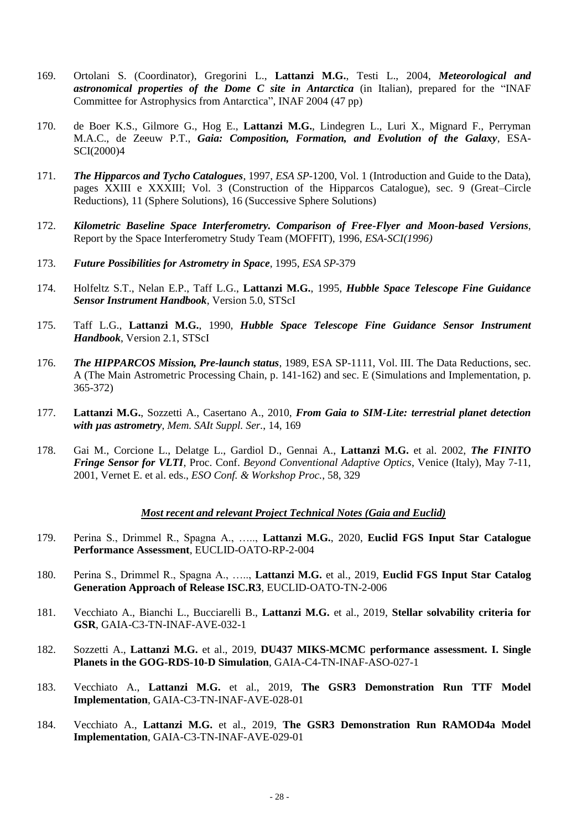- 169. Ortolani S. (Coordinator), Gregorini L., **Lattanzi M.G.**, Testi L., 2004, *Meteorological and astronomical properties of the Dome C site in Antarctica* (in Italian), prepared for the "INAF Committee for Astrophysics from Antarctica", INAF 2004 (47 pp)
- 170. de Boer K.S., Gilmore G., Hog E., **Lattanzi M.G.**, Lindegren L., Luri X., Mignard F., Perryman M.A.C., de Zeeuw P.T., *Gaia: Composition, Formation, and Evolution of the Galaxy*, ESA-SCI(2000)4
- 171. *[The Hipparcos and Tycho Catalogues](http://astro.estec.esa.nl/SA-general/Projects/Hipparcos/catalog.html)*, 1997, *ESA SP-*1200, Vol. 1 (Introduction and Guide to the Data), pages XXIII e XXXIII; Vol. 3 (Construction of the Hipparcos Catalogue), sec. 9 (Great–Circle Reductions), 11 (Sphere Solutions), 16 (Successive Sphere Solutions)
- 172. *Kilometric Baseline Space Interferometry. Comparison of Free-Flyer and Moon-based Versions*, Report by the Space Interferometry Study Team (MOFFIT), 1996, *ESA-SCI(1996)*
- 173. *Future Possibilities for Astrometry in Space*, 1995, *ESA SP*-379
- 174. Holfeltz S.T., Nelan E.P., Taff L.G., **Lattanzi M.G.**, 1995, *Hubble Space Telescope Fine Guidance Sensor Instrument Handbook*, Version 5.0, STScI
- 175. Taff L.G., **Lattanzi M.G.**, 1990, *Hubble Space Telescope Fine Guidance Sensor Instrument Handbook*, Version 2.1, STScI
- 176. *The HIPPARCOS Mission, Pre-launch status*, 1989, ESA SP-1111, Vol. III. The Data Reductions, sec. A (The Main Astrometric Processing Chain, p. 141-162) and sec. E (Simulations and Implementation, p. 365-372)
- 177. **Lattanzi M.G.**, Sozzetti A., Casertano A., 2010, *From Gaia to SIM-Lite: terrestrial planet detection with µas astrometry*, *Mem. SAIt Suppl. Ser.*, 14, 169
- 178. Gai M., Corcione L., Delatge L., Gardiol D., Gennai A., **Lattanzi M.G.** et al. 2002, *[The FINITO](http://cdsads.u-strasbg.fr/abs/2002ESOC...58..329G)  [Fringe Sensor for VLTI](http://cdsads.u-strasbg.fr/abs/2002ESOC...58..329G)*, Proc. Conf. *Beyond Conventional Adaptive Optics*, Venice (Italy), May 7-11, 2001, Vernet E. et al. eds., *ESO Conf. & Workshop Proc.*, 58, 329

## *Most recent and relevant Project Technical Notes (Gaia and Euclid)*

- 179. Perina S., Drimmel R., Spagna A., ….., **Lattanzi M.G.**, 2020, **Euclid FGS Input Star Catalogue Performance Assessment**, EUCLID-OATO-RP-2-004
- 180. Perina S., Drimmel R., Spagna A., ….., **Lattanzi M.G.** et al., 2019, **Euclid FGS Input Star Catalog Generation Approach of Release ISC.R3**, EUCLID-OATO-TN-2-006
- 181. Vecchiato A., Bianchi L., Bucciarelli B., **Lattanzi M.G.** et al., 2019, **Stellar solvability criteria for GSR**, GAIA-C3-TN-INAF-AVE-032-1
- 182. Sozzetti A., **Lattanzi M.G.** et al., 2019, **DU437 MIKS-MCMC performance assessment. I. Single Planets in the GOG-RDS-10-D Simulation**, GAIA-C4-TN-INAF-ASO-027-1
- 183. Vecchiato A., **Lattanzi M.G.** et al., 2019, **The GSR3 Demonstration Run TTF Model Implementation**, GAIA-C3-TN-INAF-AVE-028-01
- 184. Vecchiato A., **Lattanzi M.G.** et al., 2019, **The GSR3 Demonstration Run RAMOD4a Model Implementation**, GAIA-C3-TN-INAF-AVE-029-01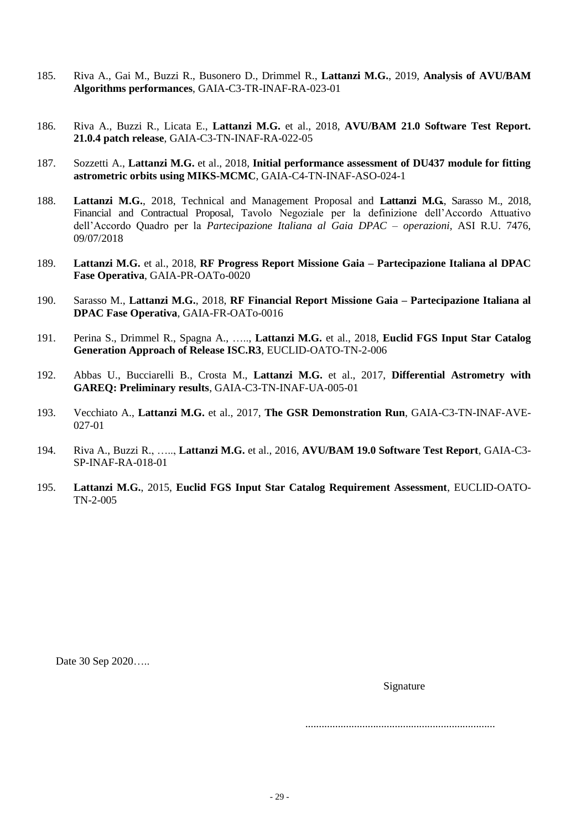- 185. Riva A., Gai M., Buzzi R., Busonero D., Drimmel R., **Lattanzi M.G.**, 2019, **Analysis of AVU/BAM Algorithms performances**, GAIA-C3-TR-INAF-RA-023-01
- 186. Riva A., Buzzi R., Licata E., **Lattanzi M.G.** et al., 2018, **AVU/BAM 21.0 Software Test Report. 21.0.4 patch release**, GAIA-C3-TN-INAF-RA-022-05
- 187. Sozzetti A., **Lattanzi M.G.** et al., 2018, **Initial performance assessment of DU437 module for fitting astrometric orbits using MIKS-MCMC**, GAIA-C4-TN-INAF-ASO-024-1
- 188. **Lattanzi M.G.**, 2018, Technical and Management Proposal and **Lattanzi M.G.**, Sarasso M., 2018, Financial and Contractual Proposal, Tavolo Negoziale per la definizione dell'Accordo Attuativo dell'Accordo Quadro per la *Partecipazione Italiana al Gaia DPAC – operazioni,* ASI R.U. 7476, 09/07/2018
- 189. **Lattanzi M.G.** et al., 2018, **RF Progress Report Missione Gaia – Partecipazione Italiana al DPAC Fase Operativa**, GAIA-PR-OATo-0020
- 190. Sarasso M., **Lattanzi M.G.**, 2018, **RF Financial Report Missione Gaia – Partecipazione Italiana al DPAC Fase Operativa**, GAIA-FR-OATo-0016
- 191. Perina S., Drimmel R., Spagna A., ….., **Lattanzi M.G.** et al., 2018, **Euclid FGS Input Star Catalog Generation Approach of Release ISC.R3**, EUCLID-OATO-TN-2-006
- 192. Abbas U., Bucciarelli B., Crosta M., **Lattanzi M.G.** et al., 2017, **Differential Astrometry with GAREQ: Preliminary results**, GAIA-C3-TN-INAF-UA-005-01
- 193. Vecchiato A., **Lattanzi M.G.** et al., 2017, **The GSR Demonstration Run**, GAIA-C3-TN-INAF-AVE-027-01
- 194. Riva A., Buzzi R., ….., **Lattanzi M.G.** et al., 2016, **AVU/BAM 19.0 Software Test Report**, GAIA-C3- SP-INAF-RA-018-01
- 195. **Lattanzi M.G.**, 2015, **Euclid FGS Input Star Catalog Requirement Assessment**, EUCLID-OATO-TN-2-005

Date 30 Sep 2020…..

Signature

......................................................................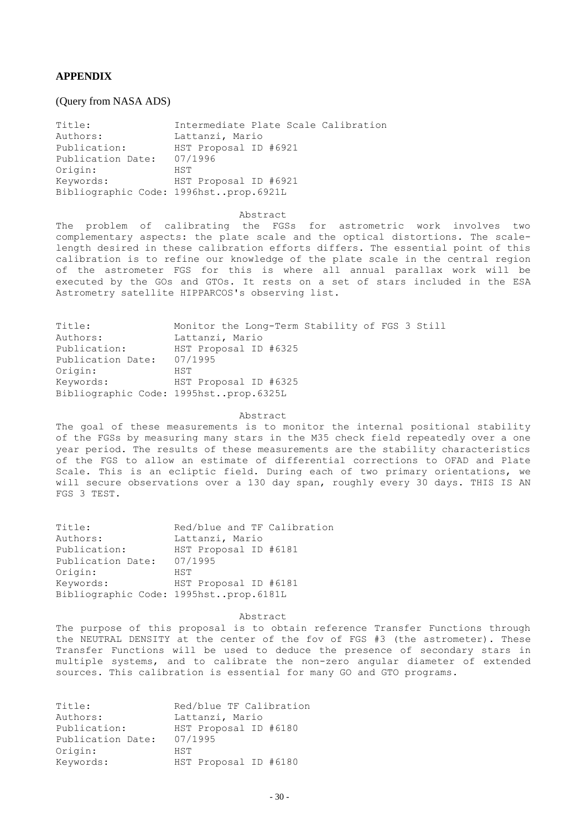# **APPENDIX**

## (Query from NASA ADS)

| Title:            | Intermediate Plate Scale Calibration  |
|-------------------|---------------------------------------|
| Authors:          | Lattanzi, Mario                       |
| Publication:      | HST Proposal ID #6921                 |
| Publication Date: | 07/1996                               |
| Origin:           | HST                                   |
| Keywords:         | HST Proposal ID #6921                 |
|                   | Bibliographic Code: 1996hstprop.6921L |

#### Abstract

The problem of calibrating the FGSs for astrometric work involves two complementary aspects: the plate scale and the optical distortions. The scalelength desired in these calibration efforts differs. The essential point of this calibration is to refine our knowledge of the plate scale in the central region of the astrometer FGS for this is where all annual parallax work will be executed by the GOs and GTOs. It rests on a set of stars included in the ESA Astrometry satellite HIPPARCOS's observing list.

| Title:            | Monitor the Long-Term Stability of FGS 3 Still |  |  |  |
|-------------------|------------------------------------------------|--|--|--|
| Authors:          | Lattanzi, Mario                                |  |  |  |
| Publication:      | HST Proposal ID #6325                          |  |  |  |
| Publication Date: | 07/1995                                        |  |  |  |
| Origin:           | HST                                            |  |  |  |
| Keywords:         | HST Proposal ID #6325                          |  |  |  |
|                   | Bibliographic Code: 1995hstprop.6325L          |  |  |  |

## Abstract

The goal of these measurements is to monitor the internal positional stability of the FGSs by measuring many stars in the M35 check field repeatedly over a one year period. The results of these measurements are the stability characteristics of the FGS to allow an estimate of differential corrections to OFAD and Plate Scale. This is an ecliptic field. During each of two primary orientations, we will secure observations over a 130 day span, roughly every 30 days. THIS IS AN FGS 3 TEST.

| Title:                                | Red/blue and TF Calibration |
|---------------------------------------|-----------------------------|
| Authors:                              | Lattanzi, Mario             |
| Publication:                          | HST Proposal ID #6181       |
| Publication Date:                     | 07/1995                     |
| Origin:                               | HST                         |
| Keywords:                             | HST Proposal ID #6181       |
| Bibliographic Code: 1995hstprop.6181L |                             |

#### Abstract

The purpose of this proposal is to obtain reference Transfer Functions through the NEUTRAL DENSITY at the center of the fov of FGS #3 (the astrometer). These Transfer Functions will be used to deduce the presence of secondary stars in multiple systems, and to calibrate the non-zero angular diameter of extended sources. This calibration is essential for many GO and GTO programs.

| Title:            | Red/blue TF Calibration |
|-------------------|-------------------------|
| Authors:          | Lattanzi, Mario         |
| Publication:      | HST Proposal ID #6180   |
| Publication Date: | 07/1995                 |
| Origin:           | HST                     |
| Keywords:         | HST Proposal ID #6180   |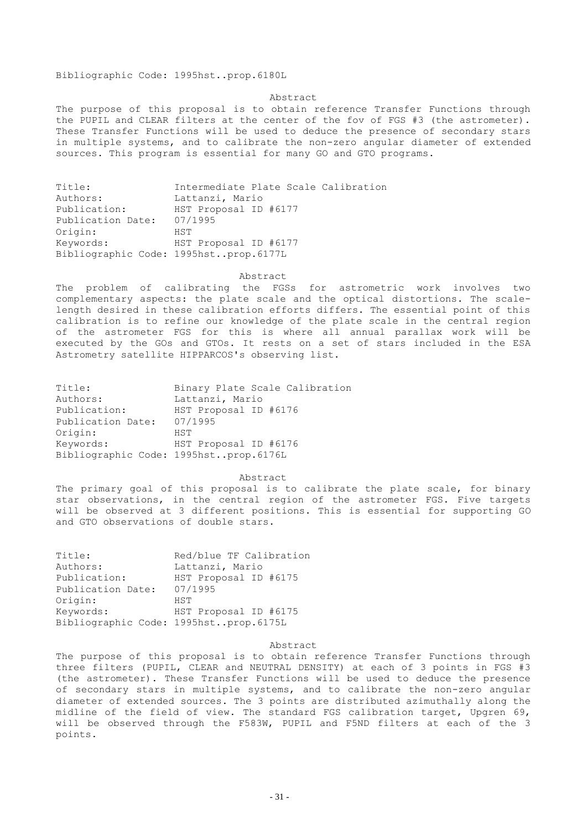Bibliographic Code: 1995hst..prop.6180L

## Abstract

The purpose of this proposal is to obtain reference Transfer Functions through the PUPIL and CLEAR filters at the center of the fov of FGS #3 (the astrometer). These Transfer Functions will be used to deduce the presence of secondary stars in multiple systems, and to calibrate the non-zero angular diameter of extended sources. This program is essential for many GO and GTO programs.

| Title:                                | Intermediate Plate Scale Calibration |
|---------------------------------------|--------------------------------------|
| Authors:                              | Lattanzi, Mario                      |
| Publication:                          | HST Proposal ID #6177                |
| Publication Date:                     | 07/1995                              |
| Origin:                               | HST                                  |
| Keywords:                             | HST Proposal ID #6177                |
| Bibliographic Code: 1995hstprop.6177L |                                      |

## Abstract

The problem of calibrating the FGSs for astrometric work involves two complementary aspects: the plate scale and the optical distortions. The scalelength desired in these calibration efforts differs. The essential point of this calibration is to refine our knowledge of the plate scale in the central region of the astrometer FGS for this is where all annual parallax work will be executed by the GOs and GTOs. It rests on a set of stars included in the ESA Astrometry satellite HIPPARCOS's observing list.

| Title:            | Binary Plate Scale Calibration        |
|-------------------|---------------------------------------|
| Authors:          | Lattanzi, Mario                       |
| Publication:      | HST Proposal ID #6176                 |
| Publication Date: | 07/1995                               |
| Origin:           | HST                                   |
| Keywords:         | HST Proposal ID #6176                 |
|                   | Bibliographic Code: 1995hstprop.6176L |

#### Abstract

The primary goal of this proposal is to calibrate the plate scale, for binary star observations, in the central region of the astrometer FGS. Five targets will be observed at 3 different positions. This is essential for supporting GO and GTO observations of double stars.

| Title:                                | Red/blue TF Calibration |
|---------------------------------------|-------------------------|
| Authors:                              | Lattanzi, Mario         |
| Publication:                          | HST Proposal ID #6175   |
| Publication Date:                     | 07/1995                 |
| Origin:                               | HST                     |
| Keywords:                             | HST Proposal ID #6175   |
| Bibliographic Code: 1995hstprop.6175L |                         |

## Abstract

The purpose of this proposal is to obtain reference Transfer Functions through three filters (PUPIL, CLEAR and NEUTRAL DENSITY) at each of 3 points in FGS #3 (the astrometer). These Transfer Functions will be used to deduce the presence of secondary stars in multiple systems, and to calibrate the non-zero angular diameter of extended sources. The 3 points are distributed azimuthally along the midline of the field of view. The standard FGS calibration target, Upgren 69, will be observed through the F583W, PUPIL and F5ND filters at each of the 3 points.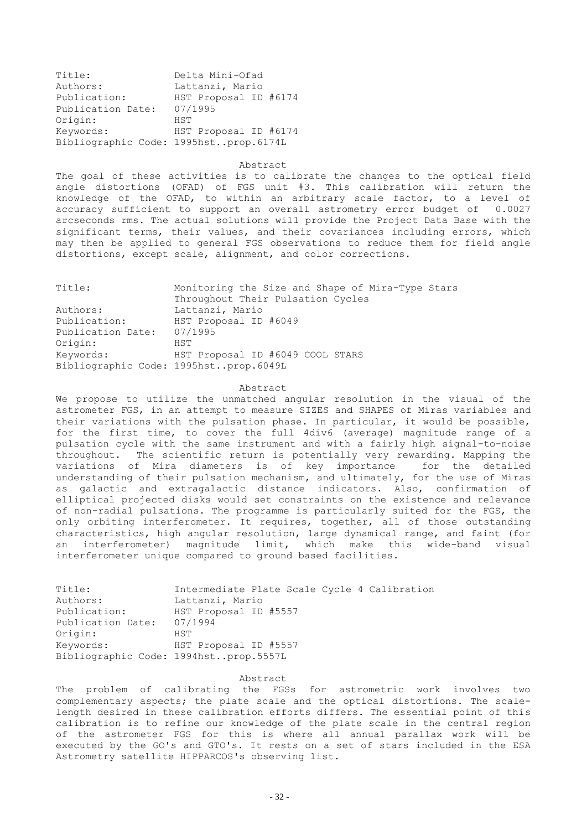| Title:                                | Delta Mini-Ofad       |
|---------------------------------------|-----------------------|
| Authors:                              | Lattanzi, Mario       |
| Publication:                          | HST Proposal ID #6174 |
| Publication Date:                     | 07/1995               |
| Origin:                               | HST                   |
| Keywords:                             | HST Proposal ID #6174 |
| Bibliographic Code: 1995hstprop.6174L |                       |

#### Abstract

The goal of these activities is to calibrate the changes to the optical field angle distortions (OFAD) of FGS unit #3. This calibration will return the knowledge of the OFAD, to within an arbitrary scale factor, to a level of accuracy sufficient to support an overall astrometry error budget of 0.0027 arcseconds rms. The actual solutions will provide the Project Data Base with the significant terms, their values, and their covariances including errors, which may then be applied to general FGS observations to reduce them for field angle distortions, except scale, alignment, and color corrections.

| Title:                                | Monitoring the Size and Shape of Mira-Type Stars |
|---------------------------------------|--------------------------------------------------|
|                                       | Throughout Their Pulsation Cycles                |
| Authors:                              | Lattanzi, Mario                                  |
| Publication:                          | HST Proposal ID #6049                            |
| Publication Date:                     | 07/1995                                          |
| Origin:                               | HST                                              |
| Keywords:                             | HST Proposal ID #6049 COOL STARS                 |
| Bibliographic Code: 1995hstprop.6049L |                                                  |

## Abstract

We propose to utilize the unmatched angular resolution in the visual of the astrometer FGS, in an attempt to measure SIZES and SHAPES of Miras variables and their variations with the pulsation phase. In particular, it would be possible, for the first time, to cover the full 4div6 (average) magnitude range of a pulsation cycle with the same instrument and with a fairly high signal-to-noise throughout. The scientific return is potentially very rewarding. Mapping the variations of Mira diameters is of key importance for the detailed understanding of their pulsation mechanism, and ultimately, for the use of Miras as galactic and extragalactic distance indicators. Also, confirmation of elliptical projected disks would set constraints on the existence and relevance of non-radial pulsations. The programme is particularly suited for the FGS, the only orbiting interferometer. It requires, together, all of those outstanding characteristics, high angular resolution, large dynamical range, and faint (for an interferometer) magnitude limit, which make this wide-band visual interferometer unique compared to ground based facilities.

| Title:            | Intermediate Plate Scale Cycle 4 Calibration |
|-------------------|----------------------------------------------|
| Authors:          | Lattanzi, Mario                              |
| Publication:      | HST Proposal ID #5557                        |
| Publication Date: | 07/1994                                      |
| Origin:           | HST                                          |
| Keywords:         | HST Proposal ID #5557                        |
|                   | Bibliographic Code: 1994hstprop.5557L        |

## Abstract

The problem of calibrating the FGSs for astrometric work involves two complementary aspects; the plate scale and the optical distortions. The scalelength desired in these calibration efforts differs. The essential point of this calibration is to refine our knowledge of the plate scale in the central region of the astrometer FGS for this is where all annual parallax work will be executed by the GO's and GTO's. It rests on a set of stars included in the ESA Astrometry satellite HIPPARCOS's observing list.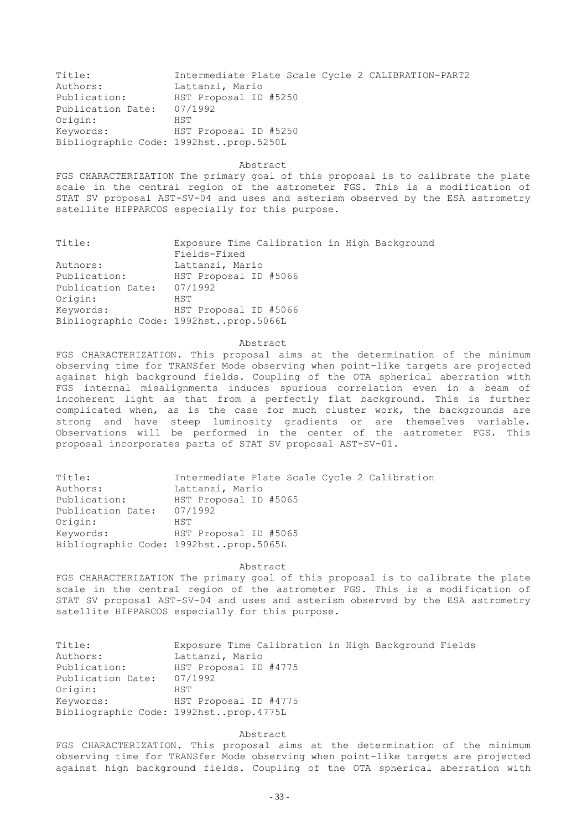| Title:                                | Intermediate Plate Scale Cycle 2 CALIBRATION-PART2 |
|---------------------------------------|----------------------------------------------------|
| Authors:                              | Lattanzi, Mario                                    |
| Publication:                          | HST Proposal ID #5250                              |
| Publication Date:                     | 07/1992                                            |
| Origin:                               | HST                                                |
| Keywords:                             | HST Proposal ID #5250                              |
| Bibliographic Code: 1992hstprop.5250L |                                                    |

#### Abstract

FGS CHARACTERIZATION The primary goal of this proposal is to calibrate the plate scale in the central region of the astrometer FGS. This is a modification of STAT SV proposal AST-SV-04 and uses and asterism observed by the ESA astrometry satellite HIPPARCOS especially for this purpose.

| Title:            | Exposure Time Calibration in High Background |
|-------------------|----------------------------------------------|
|                   | Fields-Fixed                                 |
| Authors:          | Lattanzi, Mario                              |
| Publication:      | HST Proposal ID #5066                        |
| Publication Date: | 07/1992                                      |
| Origin:           | HST                                          |
| Keywords:         | HST Proposal ID #5066                        |
|                   | Bibliographic Code: 1992hstprop.5066L        |

### Abstract

FGS CHARACTERIZATION. This proposal aims at the determination of the minimum observing time for TRANSfer Mode observing when point-like targets are projected against high background fields. Coupling of the OTA spherical aberration with FGS internal misalignments induces spurious correlation even in a beam of incoherent light as that from a perfectly flat background. This is further complicated when, as is the case for much cluster work, the backgrounds are strong and have steep luminosity gradients or are themselves variable. Observations will be performed in the center of the astrometer FGS. This proposal incorporates parts of STAT SV proposal AST-SV-01.

| Title:                                | Intermediate Plate Scale Cycle 2 Calibration |
|---------------------------------------|----------------------------------------------|
| Authors:                              | Lattanzi, Mario                              |
| Publication:                          | HST Proposal ID #5065                        |
| Publication Date:                     | 07/1992                                      |
| Origin:                               | HST                                          |
| Keywords:                             | HST Proposal ID #5065                        |
| Bibliographic Code: 1992hstprop.5065L |                                              |

Abstract

FGS CHARACTERIZATION The primary goal of this proposal is to calibrate the plate scale in the central region of the astrometer FGS. This is a modification of STAT SV proposal AST-SV-04 and uses and asterism observed by the ESA astrometry satellite HIPPARCOS especially for this purpose.

| Title:            | Exposure Time Calibration in High Background Fields |
|-------------------|-----------------------------------------------------|
| Authors:          | Lattanzi, Mario                                     |
| Publication:      | HST Proposal ID #4775                               |
| Publication Date: | 07/1992                                             |
| Origin:           | HST                                                 |
| Keywords:         | HST Proposal ID #4775                               |
|                   | Bibliographic Code: 1992hstprop.4775L               |

Abstract

FGS CHARACTERIZATION. This proposal aims at the determination of the minimum observing time for TRANSfer Mode observing when point-like targets are projected against high background fields. Coupling of the OTA spherical aberration with